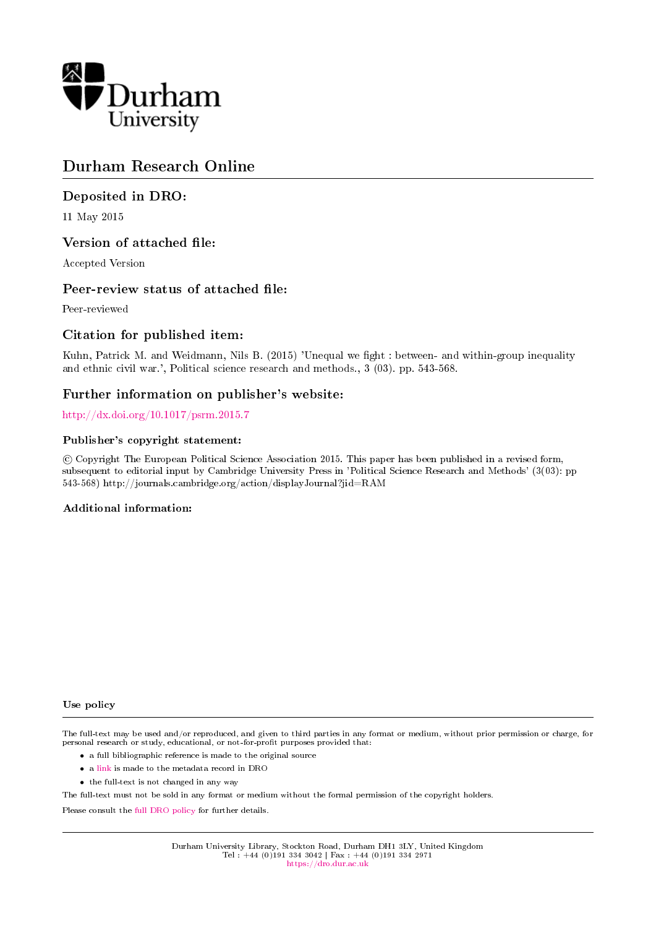

# Durham Research Online

## Deposited in DRO:

11 May 2015

### Version of attached file:

Accepted Version

### Peer-review status of attached file:

Peer-reviewed

# Citation for published item:

Kuhn, Patrick M. and Weidmann, Nils B. (2015) 'Unequal we fight : between- and within-group inequality and ethnic civil war.', Political science research and methods., 3 (03). pp. 543-568.

# Further information on publisher's website:

<http://dx.doi.org/10.1017/psrm.2015.7>

### Publisher's copyright statement:

 c Copyright The European Political Science Association 2015. This paper has been published in a revised form, subsequent to editorial input by Cambridge University Press in 'Political Science Research and Methods' (3(03): pp 543-568) http://journals.cambridge.org/action/displayJournal?jid=RAM

### Additional information:

#### Use policy

The full-text may be used and/or reproduced, and given to third parties in any format or medium, without prior permission or charge, for personal research or study, educational, or not-for-profit purposes provided that:

- a full bibliographic reference is made to the original source
- a [link](http://dro.dur.ac.uk/15435/) is made to the metadata record in DRO
- the full-text is not changed in any way

The full-text must not be sold in any format or medium without the formal permission of the copyright holders.

Please consult the [full DRO policy](https://dro.dur.ac.uk/policies/usepolicy.pdf) for further details.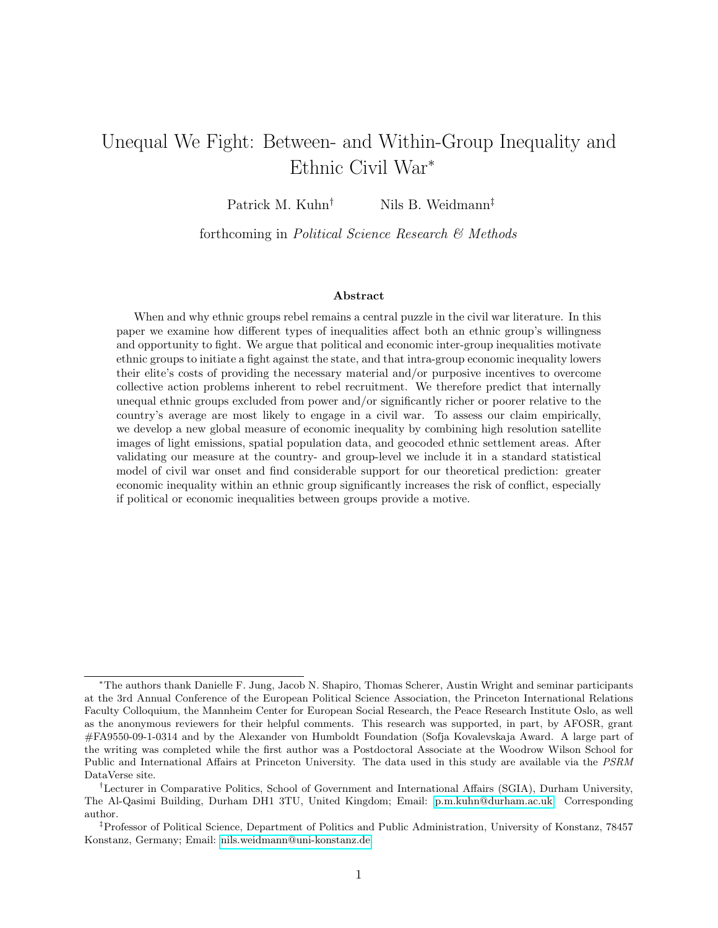# Unequal We Fight: Between- and Within-Group Inequality and Ethnic Civil War<sup>∗</sup>

Patrick M. Kuhn<sup>†</sup> Nils B. Weidmann<sup>‡</sup>

forthcoming in Political Science Research & Methods

#### Abstract

When and why ethnic groups rebel remains a central puzzle in the civil war literature. In this paper we examine how different types of inequalities affect both an ethnic group's willingness and opportunity to fight. We argue that political and economic inter-group inequalities motivate ethnic groups to initiate a fight against the state, and that intra-group economic inequality lowers their elite's costs of providing the necessary material and/or purposive incentives to overcome collective action problems inherent to rebel recruitment. We therefore predict that internally unequal ethnic groups excluded from power and/or significantly richer or poorer relative to the country's average are most likely to engage in a civil war. To assess our claim empirically, we develop a new global measure of economic inequality by combining high resolution satellite images of light emissions, spatial population data, and geocoded ethnic settlement areas. After validating our measure at the country- and group-level we include it in a standard statistical model of civil war onset and find considerable support for our theoretical prediction: greater economic inequality within an ethnic group significantly increases the risk of conflict, especially if political or economic inequalities between groups provide a motive.

<sup>∗</sup>The authors thank Danielle F. Jung, Jacob N. Shapiro, Thomas Scherer, Austin Wright and seminar participants at the 3rd Annual Conference of the European Political Science Association, the Princeton International Relations Faculty Colloquium, the Mannheim Center for European Social Research, the Peace Research Institute Oslo, as well as the anonymous reviewers for their helpful comments. This research was supported, in part, by AFOSR, grant #FA9550-09-1-0314 and by the Alexander von Humboldt Foundation (Sofja Kovalevskaja Award. A large part of the writing was completed while the first author was a Postdoctoral Associate at the Woodrow Wilson School for Public and International Affairs at Princeton University. The data used in this study are available via the PSRM DataVerse site.

<sup>†</sup>Lecturer in Comparative Politics, School of Government and International Affairs (SGIA), Durham University, The Al-Qasimi Building, Durham DH1 3TU, United Kingdom; Email: [p.m.kuhn@durham.ac.uk.](mailto:p.m.kuhn@durham.ac.uk) Corresponding author.

<sup>‡</sup>Professor of Political Science, Department of Politics and Public Administration, University of Konstanz, 78457 Konstanz, Germany; Email: [nils.weidmann@uni-konstanz.de.](mailto:nils.weidmann@uni-konstanz.de)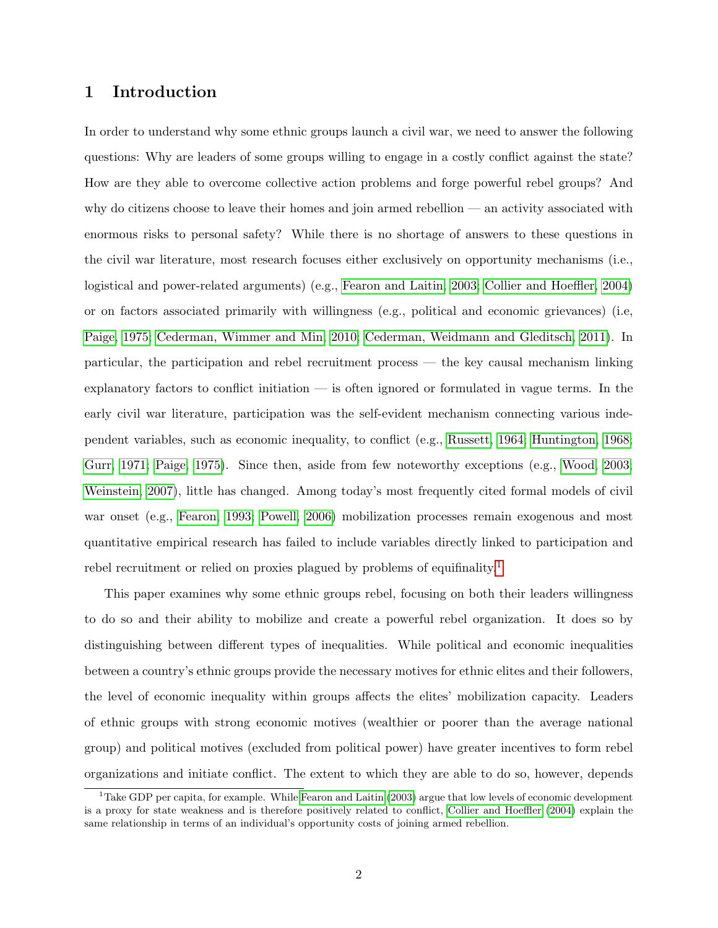# 1 Introduction

In order to understand why some ethnic groups launch a civil war, we need to answer the following questions: Why are leaders of some groups willing to engage in a costly conflict against the state? How are they able to overcome collective action problems and forge powerful rebel groups? And why do citizens choose to leave their homes and join armed rebellion — an activity associated with enormous risks to personal safety? While there is no shortage of answers to these questions in the civil war literature, most research focuses either exclusively on opportunity mechanisms (i.e., logistical and power-related arguments) (e.g., [Fearon and Laitin, 2003;](#page-34-0) [Collier and Hoeffler, 2004\)](#page-33-0) or on factors associated primarily with willingness (e.g., political and economic grievances) (i.e, [Paige, 1975;](#page-36-0) [Cederman, Wimmer and Min, 2010;](#page-33-1) [Cederman, Weidmann and Gleditsch, 2011\)](#page-33-2). In particular, the participation and rebel recruitment process — the key causal mechanism linking explanatory factors to conflict initiation — is often ignored or formulated in vague terms. In the early civil war literature, participation was the self-evident mechanism connecting various independent variables, such as economic inequality, to conflict (e.g., [Russett, 1964;](#page-36-1) [Huntington, 1968;](#page-35-0) [Gurr, 1971;](#page-34-1) [Paige, 1975\)](#page-36-0). Since then, aside from few noteworthy exceptions (e.g., [Wood, 2003;](#page-37-0) [Weinstein, 2007\)](#page-37-1), little has changed. Among today's most frequently cited formal models of civil war onset (e.g., [Fearon, 1993;](#page-34-2) [Powell, 2006\)](#page-36-2) mobilization processes remain exogenous and most quantitative empirical research has failed to include variables directly linked to participation and rebel recruitment or relied on proxies plagued by problems of equifinality.<sup>[1](#page-2-0)</sup>

This paper examines why some ethnic groups rebel, focusing on both their leaders willingness to do so and their ability to mobilize and create a powerful rebel organization. It does so by distinguishing between different types of inequalities. While political and economic inequalities between a country's ethnic groups provide the necessary motives for ethnic elites and their followers, the level of economic inequality within groups affects the elites' mobilization capacity. Leaders of ethnic groups with strong economic motives (wealthier or poorer than the average national group) and political motives (excluded from political power) have greater incentives to form rebel organizations and initiate conflict. The extent to which they are able to do so, however, depends

<span id="page-2-0"></span><sup>&</sup>lt;sup>1</sup>Take GDP per capita, for example. While [Fearon and Laitin](#page-34-0) [\(2003\)](#page-34-0) argue that low levels of economic development is a proxy for state weakness and is therefore positively related to conflict, [Collier and Hoeffler](#page-33-0) [\(2004\)](#page-33-0) explain the same relationship in terms of an individual's opportunity costs of joining armed rebellion.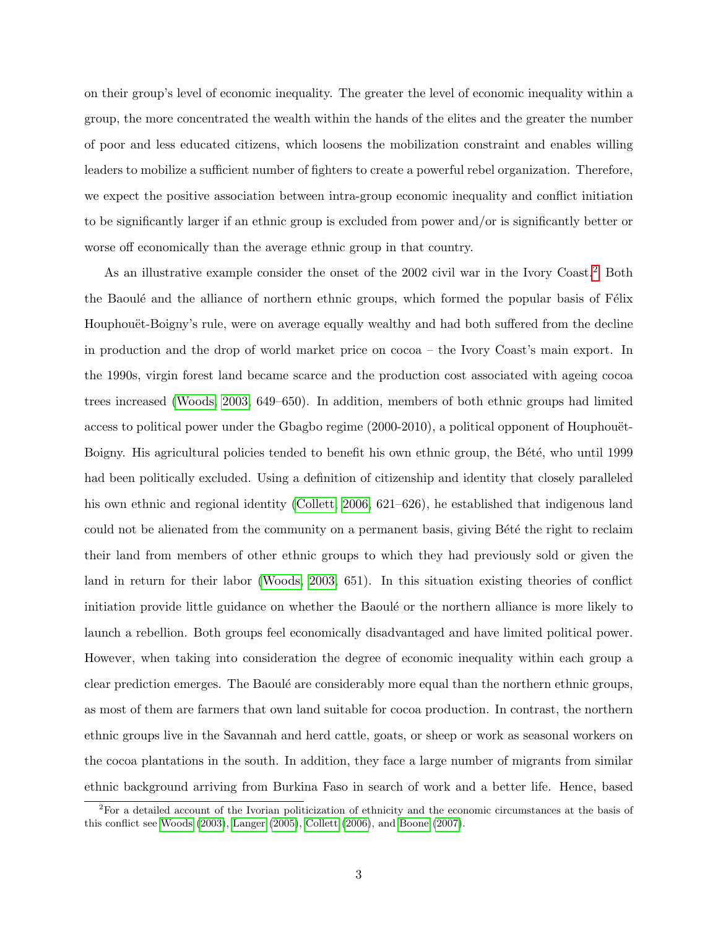on their group's level of economic inequality. The greater the level of economic inequality within a group, the more concentrated the wealth within the hands of the elites and the greater the number of poor and less educated citizens, which loosens the mobilization constraint and enables willing leaders to mobilize a sufficient number of fighters to create a powerful rebel organization. Therefore, we expect the positive association between intra-group economic inequality and conflict initiation to be significantly larger if an ethnic group is excluded from power and/or is significantly better or worse off economically than the average ethnic group in that country.

As an illustrative example consider the onset of the 2002 civil war in the Ivory Coast.[2](#page-3-0) Both the Baoulé and the alliance of northern ethnic groups, which formed the popular basis of Félix Houphouët-Boigny's rule, were on average equally wealthy and had both suffered from the decline in production and the drop of world market price on cocoa – the Ivory Coast's main export. In the 1990s, virgin forest land became scarce and the production cost associated with ageing cocoa trees increased [\(Woods, 2003,](#page-37-2) 649–650). In addition, members of both ethnic groups had limited access to political power under the Gbagbo regime  $(2000-2010)$ , a political opponent of Houphouët-Boigny. His agricultural policies tended to benefit his own ethnic group, the Bété, who until 1999 had been politically excluded. Using a definition of citizenship and identity that closely paralleled his own ethnic and regional identity [\(Collett, 2006,](#page-33-3) 621–626), he established that indigenous land could not be alienated from the community on a permanent basis, giving Bété the right to reclaim their land from members of other ethnic groups to which they had previously sold or given the land in return for their labor [\(Woods, 2003,](#page-37-2) 651). In this situation existing theories of conflict initiation provide little guidance on whether the Baoulé or the northern alliance is more likely to launch a rebellion. Both groups feel economically disadvantaged and have limited political power. However, when taking into consideration the degree of economic inequality within each group a clear prediction emerges. The Baoulé are considerably more equal than the northern ethnic groups, as most of them are farmers that own land suitable for cocoa production. In contrast, the northern ethnic groups live in the Savannah and herd cattle, goats, or sheep or work as seasonal workers on the cocoa plantations in the south. In addition, they face a large number of migrants from similar ethnic background arriving from Burkina Faso in search of work and a better life. Hence, based

<span id="page-3-0"></span><sup>2</sup>For a detailed account of the Ivorian politicization of ethnicity and the economic circumstances at the basis of this conflict see [Woods](#page-37-2) [\(2003\)](#page-37-2), [Langer](#page-35-1) [\(2005\)](#page-35-1), [Collett](#page-33-3) [\(2006\)](#page-33-3), and [Boone](#page-33-4) [\(2007\)](#page-33-4).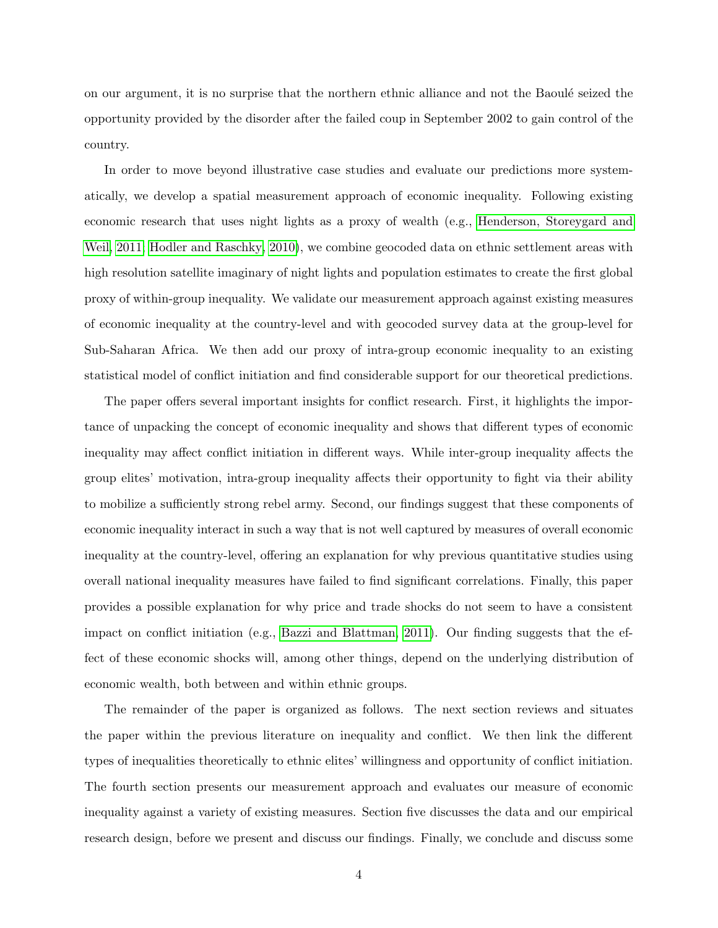on our argument, it is no surprise that the northern ethnic alliance and not the Baoulé seized the opportunity provided by the disorder after the failed coup in September 2002 to gain control of the country.

In order to move beyond illustrative case studies and evaluate our predictions more systematically, we develop a spatial measurement approach of economic inequality. Following existing economic research that uses night lights as a proxy of wealth (e.g., [Henderson, Storeygard and](#page-34-3) [Weil, 2011;](#page-34-3) [Hodler and Raschky, 2010\)](#page-34-4), we combine geocoded data on ethnic settlement areas with high resolution satellite imaginary of night lights and population estimates to create the first global proxy of within-group inequality. We validate our measurement approach against existing measures of economic inequality at the country-level and with geocoded survey data at the group-level for Sub-Saharan Africa. We then add our proxy of intra-group economic inequality to an existing statistical model of conflict initiation and find considerable support for our theoretical predictions.

The paper offers several important insights for conflict research. First, it highlights the importance of unpacking the concept of economic inequality and shows that different types of economic inequality may affect conflict initiation in different ways. While inter-group inequality affects the group elites' motivation, intra-group inequality affects their opportunity to fight via their ability to mobilize a sufficiently strong rebel army. Second, our findings suggest that these components of economic inequality interact in such a way that is not well captured by measures of overall economic inequality at the country-level, offering an explanation for why previous quantitative studies using overall national inequality measures have failed to find significant correlations. Finally, this paper provides a possible explanation for why price and trade shocks do not seem to have a consistent impact on conflict initiation (e.g., [Bazzi and Blattman, 2011\)](#page-33-5). Our finding suggests that the effect of these economic shocks will, among other things, depend on the underlying distribution of economic wealth, both between and within ethnic groups.

The remainder of the paper is organized as follows. The next section reviews and situates the paper within the previous literature on inequality and conflict. We then link the different types of inequalities theoretically to ethnic elites' willingness and opportunity of conflict initiation. The fourth section presents our measurement approach and evaluates our measure of economic inequality against a variety of existing measures. Section five discusses the data and our empirical research design, before we present and discuss our findings. Finally, we conclude and discuss some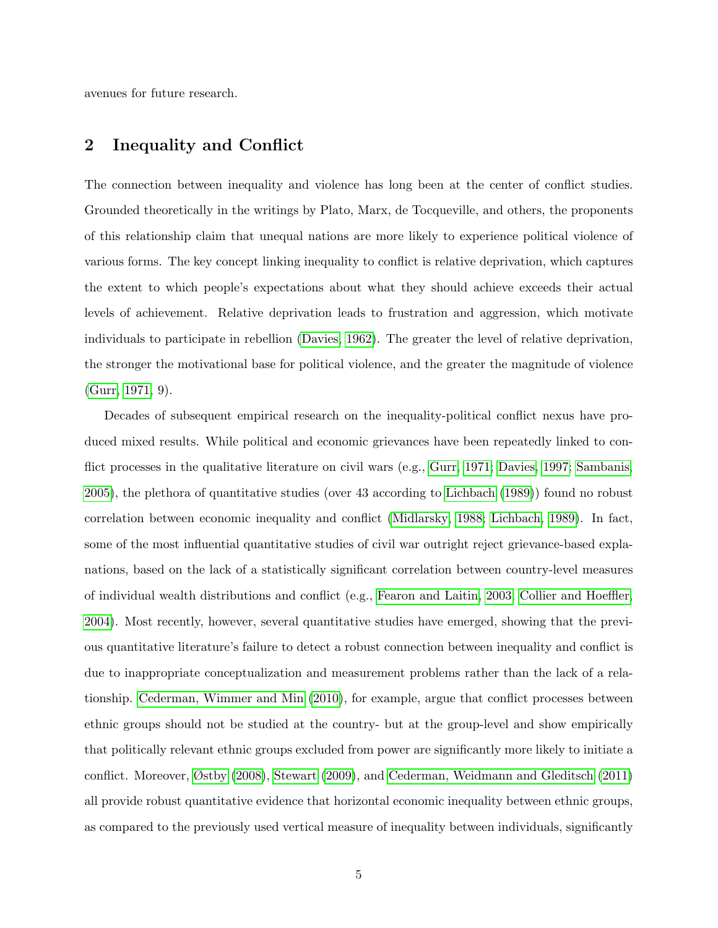avenues for future research.

## 2 Inequality and Conflict

The connection between inequality and violence has long been at the center of conflict studies. Grounded theoretically in the writings by Plato, Marx, de Tocqueville, and others, the proponents of this relationship claim that unequal nations are more likely to experience political violence of various forms. The key concept linking inequality to conflict is relative deprivation, which captures the extent to which people's expectations about what they should achieve exceeds their actual levels of achievement. Relative deprivation leads to frustration and aggression, which motivate individuals to participate in rebellion [\(Davies, 1962\)](#page-33-6). The greater the level of relative deprivation, the stronger the motivational base for political violence, and the greater the magnitude of violence [\(Gurr, 1971,](#page-34-1) 9).

Decades of subsequent empirical research on the inequality-political conflict nexus have produced mixed results. While political and economic grievances have been repeatedly linked to conflict processes in the qualitative literature on civil wars (e.g., [Gurr, 1971;](#page-34-1) [Davies, 1997;](#page-34-5) [Sambanis,](#page-36-3) [2005\)](#page-36-3), the plethora of quantitative studies (over 43 according to [Lichbach](#page-35-2) [\(1989\)](#page-35-2)) found no robust correlation between economic inequality and conflict [\(Midlarsky, 1988;](#page-35-3) [Lichbach, 1989\)](#page-35-2). In fact, some of the most influential quantitative studies of civil war outright reject grievance-based explanations, based on the lack of a statistically significant correlation between country-level measures of individual wealth distributions and conflict (e.g., [Fearon and Laitin, 2003;](#page-34-0) [Collier and Hoeffler,](#page-33-0) [2004\)](#page-33-0). Most recently, however, several quantitative studies have emerged, showing that the previous quantitative literature's failure to detect a robust connection between inequality and conflict is due to inappropriate conceptualization and measurement problems rather than the lack of a relationship. [Cederman, Wimmer and Min](#page-33-1) [\(2010\)](#page-33-1), for example, argue that conflict processes between ethnic groups should not be studied at the country- but at the group-level and show empirically that politically relevant ethnic groups excluded from power are significantly more likely to initiate a conflict. Moreover, [Østby](#page-36-4) [\(2008\)](#page-36-4), [Stewart](#page-37-3) [\(2009\)](#page-37-3), and [Cederman, Weidmann and Gleditsch](#page-33-2) [\(2011\)](#page-33-2) all provide robust quantitative evidence that horizontal economic inequality between ethnic groups, as compared to the previously used vertical measure of inequality between individuals, significantly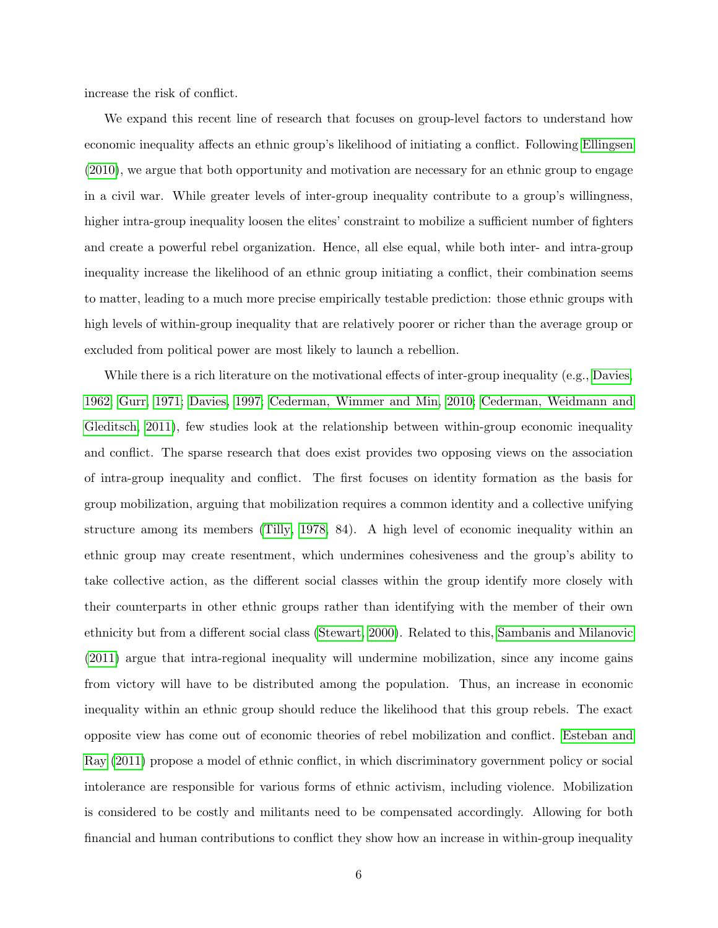increase the risk of conflict.

We expand this recent line of research that focuses on group-level factors to understand how economic inequality affects an ethnic group's likelihood of initiating a conflict. Following [Ellingsen](#page-34-6) [\(2010\)](#page-34-6), we argue that both opportunity and motivation are necessary for an ethnic group to engage in a civil war. While greater levels of inter-group inequality contribute to a group's willingness, higher intra-group inequality loosen the elites' constraint to mobilize a sufficient number of fighters and create a powerful rebel organization. Hence, all else equal, while both inter- and intra-group inequality increase the likelihood of an ethnic group initiating a conflict, their combination seems to matter, leading to a much more precise empirically testable prediction: those ethnic groups with high levels of within-group inequality that are relatively poorer or richer than the average group or excluded from political power are most likely to launch a rebellion.

While there is a rich literature on the motivational effects of inter-group inequality (e.g., [Davies,](#page-33-6) [1962;](#page-33-6) [Gurr, 1971;](#page-34-1) [Davies, 1997;](#page-34-5) [Cederman, Wimmer and Min, 2010;](#page-33-1) [Cederman, Weidmann and](#page-33-2) [Gleditsch, 2011\)](#page-33-2), few studies look at the relationship between within-group economic inequality and conflict. The sparse research that does exist provides two opposing views on the association of intra-group inequality and conflict. The first focuses on identity formation as the basis for group mobilization, arguing that mobilization requires a common identity and a collective unifying structure among its members [\(Tilly, 1978,](#page-37-4) 84). A high level of economic inequality within an ethnic group may create resentment, which undermines cohesiveness and the group's ability to take collective action, as the different social classes within the group identify more closely with their counterparts in other ethnic groups rather than identifying with the member of their own ethnicity but from a different social class [\(Stewart, 2000\)](#page-37-5). Related to this, [Sambanis and Milanovic](#page-36-5) [\(2011\)](#page-36-5) argue that intra-regional inequality will undermine mobilization, since any income gains from victory will have to be distributed among the population. Thus, an increase in economic inequality within an ethnic group should reduce the likelihood that this group rebels. The exact opposite view has come out of economic theories of rebel mobilization and conflict. [Esteban and](#page-34-7) [Ray](#page-34-7) [\(2011\)](#page-34-7) propose a model of ethnic conflict, in which discriminatory government policy or social intolerance are responsible for various forms of ethnic activism, including violence. Mobilization is considered to be costly and militants need to be compensated accordingly. Allowing for both financial and human contributions to conflict they show how an increase in within-group inequality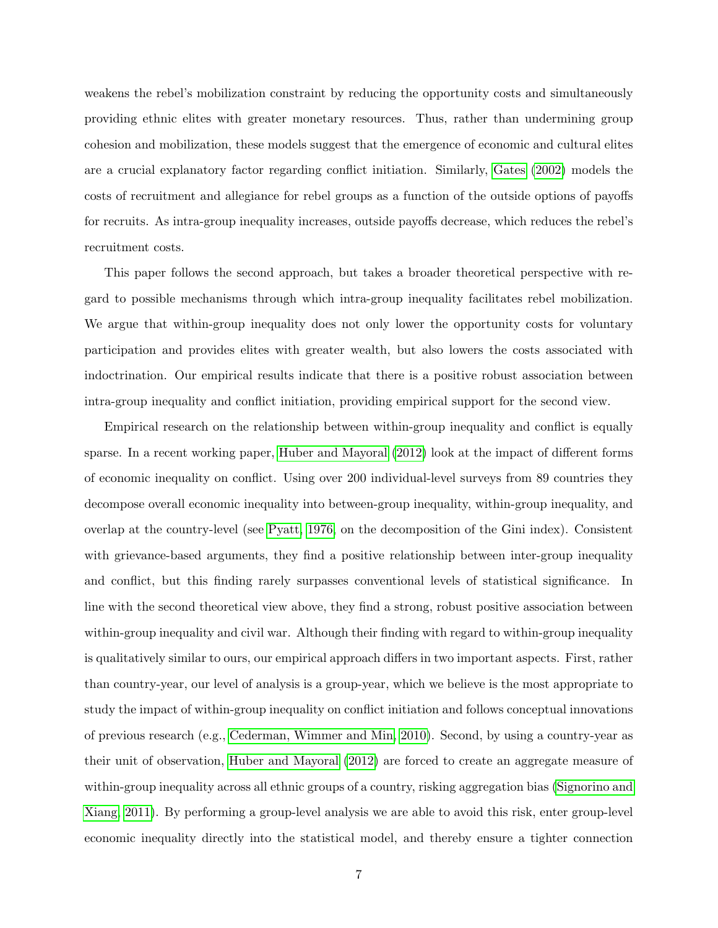weakens the rebel's mobilization constraint by reducing the opportunity costs and simultaneously providing ethnic elites with greater monetary resources. Thus, rather than undermining group cohesion and mobilization, these models suggest that the emergence of economic and cultural elites are a crucial explanatory factor regarding conflict initiation. Similarly, [Gates](#page-34-8) [\(2002\)](#page-34-8) models the costs of recruitment and allegiance for rebel groups as a function of the outside options of payoffs for recruits. As intra-group inequality increases, outside payoffs decrease, which reduces the rebel's recruitment costs.

This paper follows the second approach, but takes a broader theoretical perspective with regard to possible mechanisms through which intra-group inequality facilitates rebel mobilization. We argue that within-group inequality does not only lower the opportunity costs for voluntary participation and provides elites with greater wealth, but also lowers the costs associated with indoctrination. Our empirical results indicate that there is a positive robust association between intra-group inequality and conflict initiation, providing empirical support for the second view.

Empirical research on the relationship between within-group inequality and conflict is equally sparse. In a recent working paper, [Huber and Mayoral](#page-35-4) [\(2012\)](#page-35-4) look at the impact of different forms of economic inequality on conflict. Using over 200 individual-level surveys from 89 countries they decompose overall economic inequality into between-group inequality, within-group inequality, and overlap at the country-level (see [Pyatt, 1976,](#page-36-6) on the decomposition of the Gini index). Consistent with grievance-based arguments, they find a positive relationship between inter-group inequality and conflict, but this finding rarely surpasses conventional levels of statistical significance. In line with the second theoretical view above, they find a strong, robust positive association between within-group inequality and civil war. Although their finding with regard to within-group inequality is qualitatively similar to ours, our empirical approach differs in two important aspects. First, rather than country-year, our level of analysis is a group-year, which we believe is the most appropriate to study the impact of within-group inequality on conflict initiation and follows conceptual innovations of previous research (e.g., [Cederman, Wimmer and Min, 2010\)](#page-33-1). Second, by using a country-year as their unit of observation, [Huber and Mayoral](#page-35-4) [\(2012\)](#page-35-4) are forced to create an aggregate measure of within-group inequality across all ethnic groups of a country, risking aggregation bias [\(Signorino and](#page-37-6) [Xiang, 2011\)](#page-37-6). By performing a group-level analysis we are able to avoid this risk, enter group-level economic inequality directly into the statistical model, and thereby ensure a tighter connection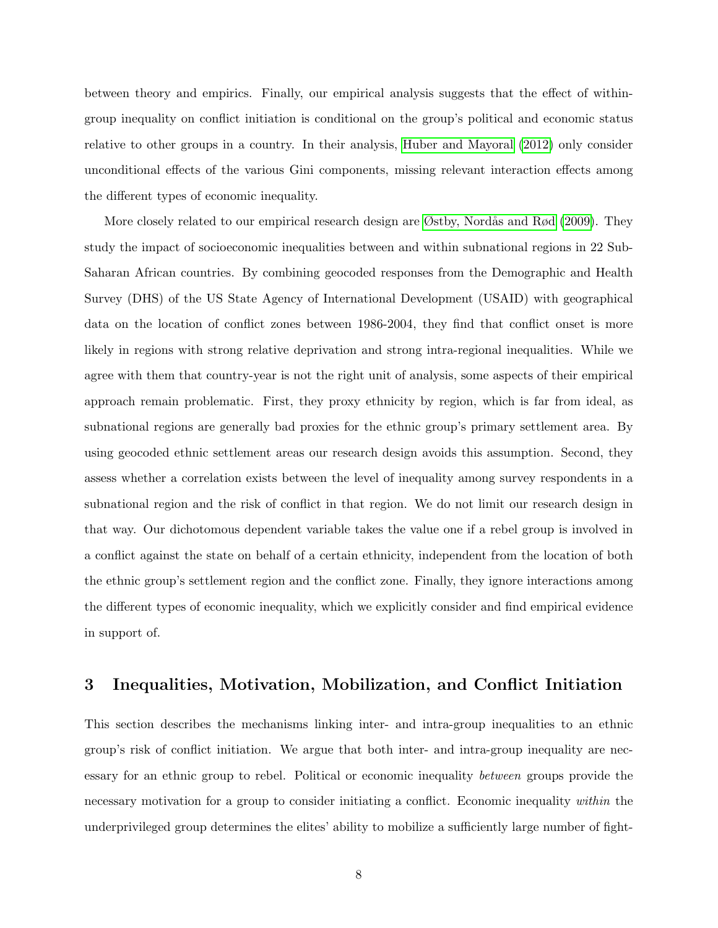between theory and empirics. Finally, our empirical analysis suggests that the effect of withingroup inequality on conflict initiation is conditional on the group's political and economic status relative to other groups in a country. In their analysis, [Huber and Mayoral](#page-35-4) [\(2012\)](#page-35-4) only consider unconditional effects of the various Gini components, missing relevant interaction effects among the different types of economic inequality.

More closely related to our empirical research design are Østby, Nordås and Rød [\(2009\)](#page-36-7). They study the impact of socioeconomic inequalities between and within subnational regions in 22 Sub-Saharan African countries. By combining geocoded responses from the Demographic and Health Survey (DHS) of the US State Agency of International Development (USAID) with geographical data on the location of conflict zones between 1986-2004, they find that conflict onset is more likely in regions with strong relative deprivation and strong intra-regional inequalities. While we agree with them that country-year is not the right unit of analysis, some aspects of their empirical approach remain problematic. First, they proxy ethnicity by region, which is far from ideal, as subnational regions are generally bad proxies for the ethnic group's primary settlement area. By using geocoded ethnic settlement areas our research design avoids this assumption. Second, they assess whether a correlation exists between the level of inequality among survey respondents in a subnational region and the risk of conflict in that region. We do not limit our research design in that way. Our dichotomous dependent variable takes the value one if a rebel group is involved in a conflict against the state on behalf of a certain ethnicity, independent from the location of both the ethnic group's settlement region and the conflict zone. Finally, they ignore interactions among the different types of economic inequality, which we explicitly consider and find empirical evidence in support of.

## 3 Inequalities, Motivation, Mobilization, and Conflict Initiation

This section describes the mechanisms linking inter- and intra-group inequalities to an ethnic group's risk of conflict initiation. We argue that both inter- and intra-group inequality are necessary for an ethnic group to rebel. Political or economic inequality between groups provide the necessary motivation for a group to consider initiating a conflict. Economic inequality within the underprivileged group determines the elites' ability to mobilize a sufficiently large number of fight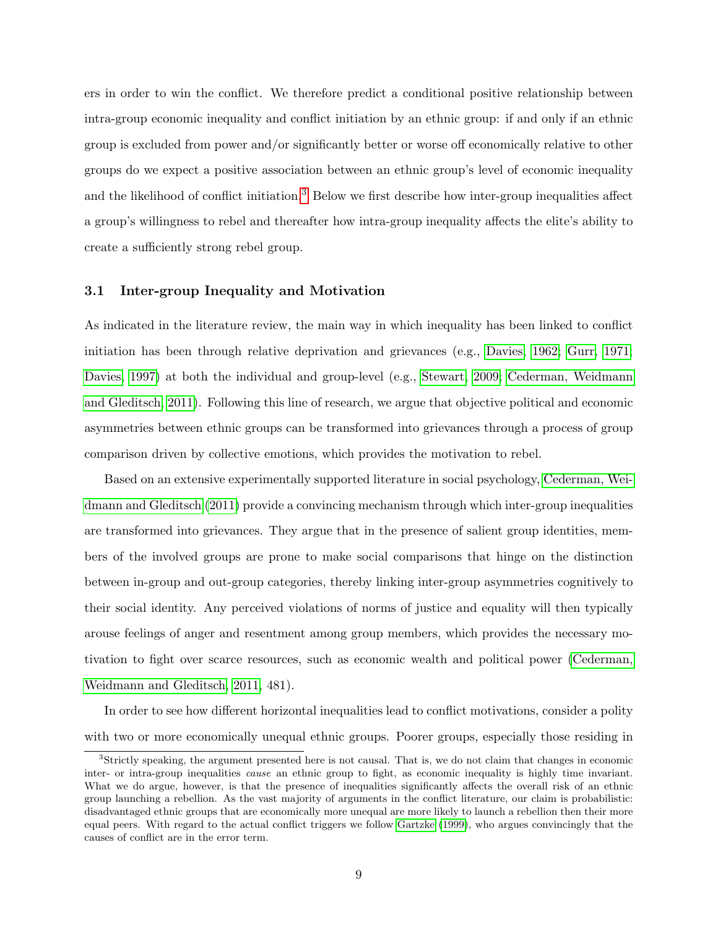ers in order to win the conflict. We therefore predict a conditional positive relationship between intra-group economic inequality and conflict initiation by an ethnic group: if and only if an ethnic group is excluded from power and/or significantly better or worse off economically relative to other groups do we expect a positive association between an ethnic group's level of economic inequality and the likelihood of conflict initiation.[3](#page-9-0) Below we first describe how inter-group inequalities affect a group's willingness to rebel and thereafter how intra-group inequality affects the elite's ability to create a sufficiently strong rebel group.

#### 3.1 Inter-group Inequality and Motivation

As indicated in the literature review, the main way in which inequality has been linked to conflict initiation has been through relative deprivation and grievances (e.g., [Davies, 1962;](#page-33-6) [Gurr, 1971;](#page-34-1) [Davies, 1997\)](#page-34-5) at both the individual and group-level (e.g., [Stewart, 2009;](#page-37-3) [Cederman, Weidmann](#page-33-2) [and Gleditsch, 2011\)](#page-33-2). Following this line of research, we argue that objective political and economic asymmetries between ethnic groups can be transformed into grievances through a process of group comparison driven by collective emotions, which provides the motivation to rebel.

Based on an extensive experimentally supported literature in social psychology, [Cederman, Wei](#page-33-2)[dmann and Gleditsch](#page-33-2) [\(2011\)](#page-33-2) provide a convincing mechanism through which inter-group inequalities are transformed into grievances. They argue that in the presence of salient group identities, members of the involved groups are prone to make social comparisons that hinge on the distinction between in-group and out-group categories, thereby linking inter-group asymmetries cognitively to their social identity. Any perceived violations of norms of justice and equality will then typically arouse feelings of anger and resentment among group members, which provides the necessary motivation to fight over scarce resources, such as economic wealth and political power [\(Cederman,](#page-33-2) [Weidmann and Gleditsch, 2011,](#page-33-2) 481).

In order to see how different horizontal inequalities lead to conflict motivations, consider a polity with two or more economically unequal ethnic groups. Poorer groups, especially those residing in

<span id="page-9-0"></span><sup>3</sup>Strictly speaking, the argument presented here is not causal. That is, we do not claim that changes in economic inter- or intra-group inequalities cause an ethnic group to fight, as economic inequality is highly time invariant. What we do argue, however, is that the presence of inequalities significantly affects the overall risk of an ethnic group launching a rebellion. As the vast majority of arguments in the conflict literature, our claim is probabilistic: disadvantaged ethnic groups that are economically more unequal are more likely to launch a rebellion then their more equal peers. With regard to the actual conflict triggers we follow [Gartzke](#page-34-9) [\(1999\)](#page-34-9), who argues convincingly that the causes of conflict are in the error term.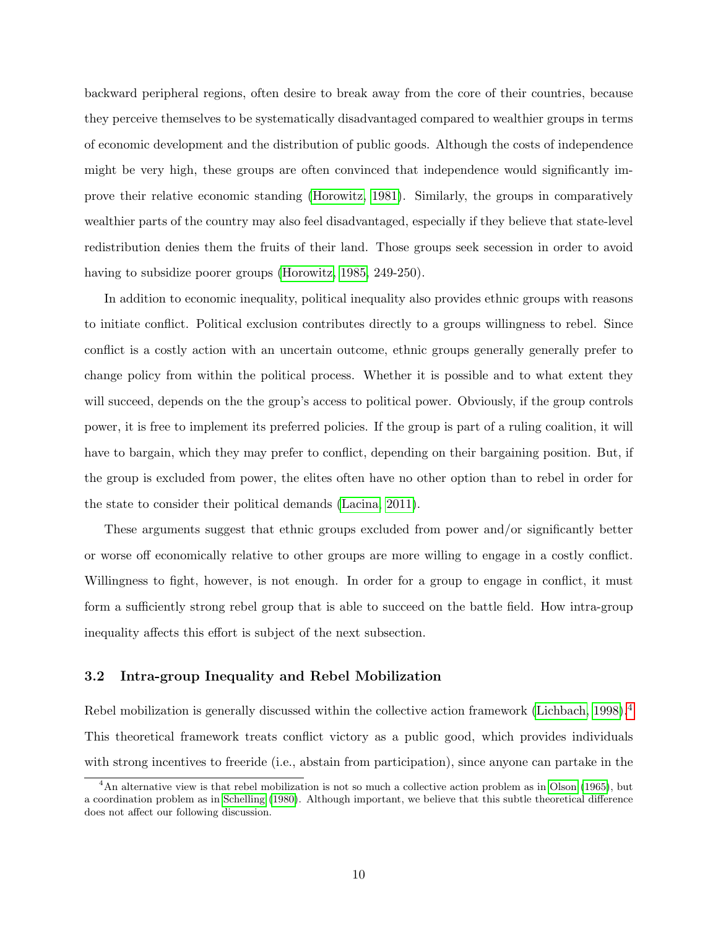backward peripheral regions, often desire to break away from the core of their countries, because they perceive themselves to be systematically disadvantaged compared to wealthier groups in terms of economic development and the distribution of public goods. Although the costs of independence might be very high, these groups are often convinced that independence would significantly improve their relative economic standing [\(Horowitz, 1981\)](#page-34-10). Similarly, the groups in comparatively wealthier parts of the country may also feel disadvantaged, especially if they believe that state-level redistribution denies them the fruits of their land. Those groups seek secession in order to avoid having to subsidize poorer groups [\(Horowitz, 1985,](#page-34-11) 249-250).

In addition to economic inequality, political inequality also provides ethnic groups with reasons to initiate conflict. Political exclusion contributes directly to a groups willingness to rebel. Since conflict is a costly action with an uncertain outcome, ethnic groups generally generally prefer to change policy from within the political process. Whether it is possible and to what extent they will succeed, depends on the the group's access to political power. Obviously, if the group controls power, it is free to implement its preferred policies. If the group is part of a ruling coalition, it will have to bargain, which they may prefer to conflict, depending on their bargaining position. But, if the group is excluded from power, the elites often have no other option than to rebel in order for the state to consider their political demands [\(Lacina, 2011\)](#page-35-5).

These arguments suggest that ethnic groups excluded from power and/or significantly better or worse off economically relative to other groups are more willing to engage in a costly conflict. Willingness to fight, however, is not enough. In order for a group to engage in conflict, it must form a sufficiently strong rebel group that is able to succeed on the battle field. How intra-group inequality affects this effort is subject of the next subsection.

#### 3.2 Intra-group Inequality and Rebel Mobilization

Rebel mobilization is generally discussed within the collective action framework [\(Lichbach, 1998\)](#page-35-6).<sup>[4](#page-10-0)</sup> This theoretical framework treats conflict victory as a public good, which provides individuals with strong incentives to freeride (i.e., abstain from participation), since anyone can partake in the

<span id="page-10-0"></span><sup>&</sup>lt;sup>4</sup>An alternative view is that rebel mobilization is not so much a collective action problem as in [Olson](#page-36-8) [\(1965\)](#page-36-8), but a coordination problem as in [Schelling](#page-36-9) [\(1980\)](#page-36-9). Although important, we believe that this subtle theoretical difference does not affect our following discussion.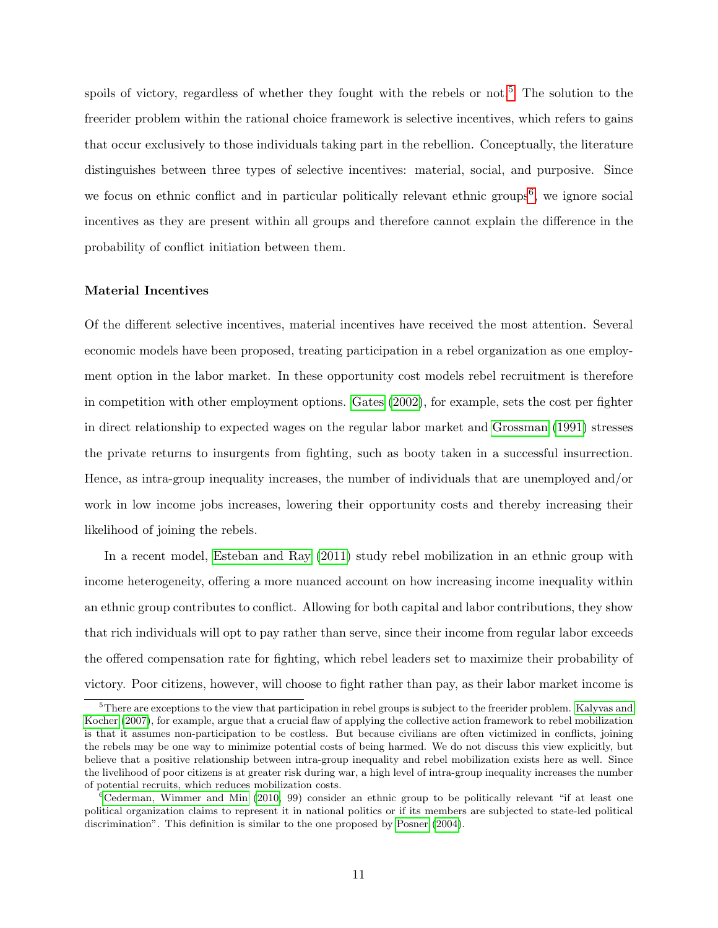spoils of victory, regardless of whether they fought with the rebels or not.<sup>[5](#page-11-0)</sup> The solution to the freerider problem within the rational choice framework is selective incentives, which refers to gains that occur exclusively to those individuals taking part in the rebellion. Conceptually, the literature distinguishes between three types of selective incentives: material, social, and purposive. Since we focus on ethnic conflict and in particular politically relevant ethnic groups<sup>[6](#page-11-1)</sup>, we ignore social incentives as they are present within all groups and therefore cannot explain the difference in the probability of conflict initiation between them.

#### Material Incentives

Of the different selective incentives, material incentives have received the most attention. Several economic models have been proposed, treating participation in a rebel organization as one employment option in the labor market. In these opportunity cost models rebel recruitment is therefore in competition with other employment options. [Gates](#page-34-8) [\(2002\)](#page-34-8), for example, sets the cost per fighter in direct relationship to expected wages on the regular labor market and [Grossman](#page-34-12) [\(1991\)](#page-34-12) stresses the private returns to insurgents from fighting, such as booty taken in a successful insurrection. Hence, as intra-group inequality increases, the number of individuals that are unemployed and/or work in low income jobs increases, lowering their opportunity costs and thereby increasing their likelihood of joining the rebels.

In a recent model, [Esteban and Ray](#page-34-7) [\(2011\)](#page-34-7) study rebel mobilization in an ethnic group with income heterogeneity, offering a more nuanced account on how increasing income inequality within an ethnic group contributes to conflict. Allowing for both capital and labor contributions, they show that rich individuals will opt to pay rather than serve, since their income from regular labor exceeds the offered compensation rate for fighting, which rebel leaders set to maximize their probability of victory. Poor citizens, however, will choose to fight rather than pay, as their labor market income is

<span id="page-11-0"></span><sup>&</sup>lt;sup>5</sup>There are exceptions to the view that participation in rebel groups is subject to the freerider problem. [Kalyvas and](#page-35-7) [Kocher](#page-35-7) [\(2007\)](#page-35-7), for example, argue that a crucial flaw of applying the collective action framework to rebel mobilization is that it assumes non-participation to be costless. But because civilians are often victimized in conflicts, joining the rebels may be one way to minimize potential costs of being harmed. We do not discuss this view explicitly, but believe that a positive relationship between intra-group inequality and rebel mobilization exists here as well. Since the livelihood of poor citizens is at greater risk during war, a high level of intra-group inequality increases the number of potential recruits, which reduces mobilization costs.

<span id="page-11-1"></span> ${}^6$ [Cederman, Wimmer and Min](#page-33-1) [\(2010,](#page-33-1) 99) consider an ethnic group to be politically relevant "if at least one political organization claims to represent it in national politics or if its members are subjected to state-led political discrimination". This definition is similar to the one proposed by [Posner](#page-36-10) [\(2004\)](#page-36-10).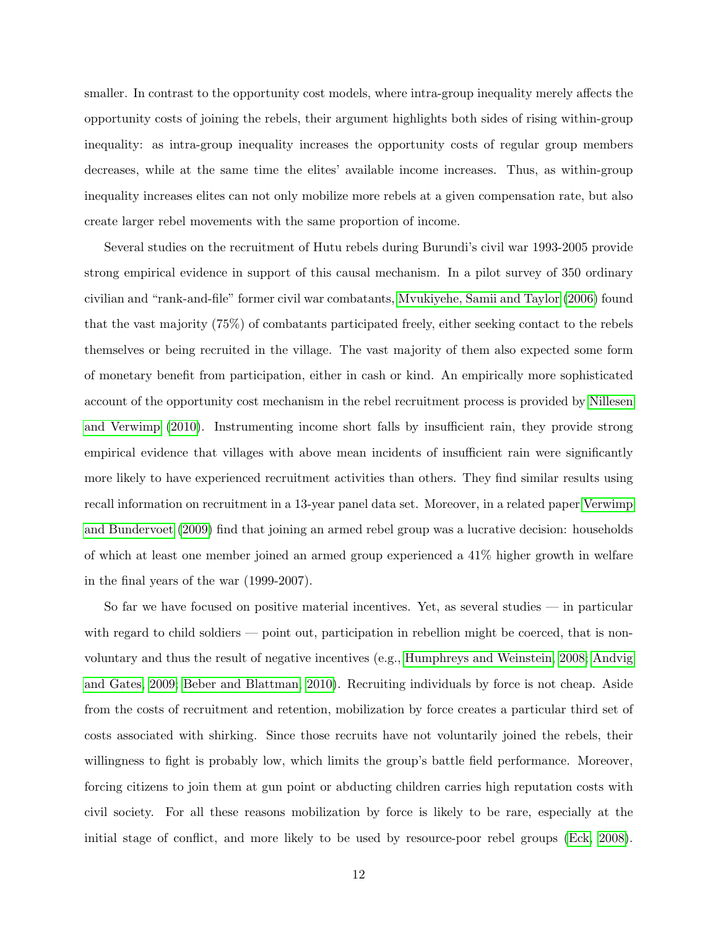smaller. In contrast to the opportunity cost models, where intra-group inequality merely affects the opportunity costs of joining the rebels, their argument highlights both sides of rising within-group inequality: as intra-group inequality increases the opportunity costs of regular group members decreases, while at the same time the elites' available income increases. Thus, as within-group inequality increases elites can not only mobilize more rebels at a given compensation rate, but also create larger rebel movements with the same proportion of income.

Several studies on the recruitment of Hutu rebels during Burundi's civil war 1993-2005 provide strong empirical evidence in support of this causal mechanism. In a pilot survey of 350 ordinary civilian and "rank-and-file" former civil war combatants, [Mvukiyehe, Samii and Taylor](#page-35-8) [\(2006\)](#page-35-8) found that the vast majority (75%) of combatants participated freely, either seeking contact to the rebels themselves or being recruited in the village. The vast majority of them also expected some form of monetary benefit from participation, either in cash or kind. An empirically more sophisticated account of the opportunity cost mechanism in the rebel recruitment process is provided by [Nillesen](#page-35-9) [and Verwimp](#page-35-9) [\(2010\)](#page-35-9). Instrumenting income short falls by insufficient rain, they provide strong empirical evidence that villages with above mean incidents of insufficient rain were significantly more likely to have experienced recruitment activities than others. They find similar results using recall information on recruitment in a 13-year panel data set. Moreover, in a related paper [Verwimp](#page-37-7) [and Bundervoet](#page-37-7) [\(2009\)](#page-37-7) find that joining an armed rebel group was a lucrative decision: households of which at least one member joined an armed group experienced a 41% higher growth in welfare in the final years of the war (1999-2007).

So far we have focused on positive material incentives. Yet, as several studies — in particular with regard to child soldiers — point out, participation in rebellion might be coerced, that is nonvoluntary and thus the result of negative incentives (e.g., [Humphreys and Weinstein, 2008;](#page-35-10) [Andvig](#page-33-7) [and Gates, 2009;](#page-33-7) [Beber and Blattman, 2010\)](#page-33-8). Recruiting individuals by force is not cheap. Aside from the costs of recruitment and retention, mobilization by force creates a particular third set of costs associated with shirking. Since those recruits have not voluntarily joined the rebels, their willingness to fight is probably low, which limits the group's battle field performance. Moreover, forcing citizens to join them at gun point or abducting children carries high reputation costs with civil society. For all these reasons mobilization by force is likely to be rare, especially at the initial stage of conflict, and more likely to be used by resource-poor rebel groups [\(Eck, 2008\)](#page-34-13).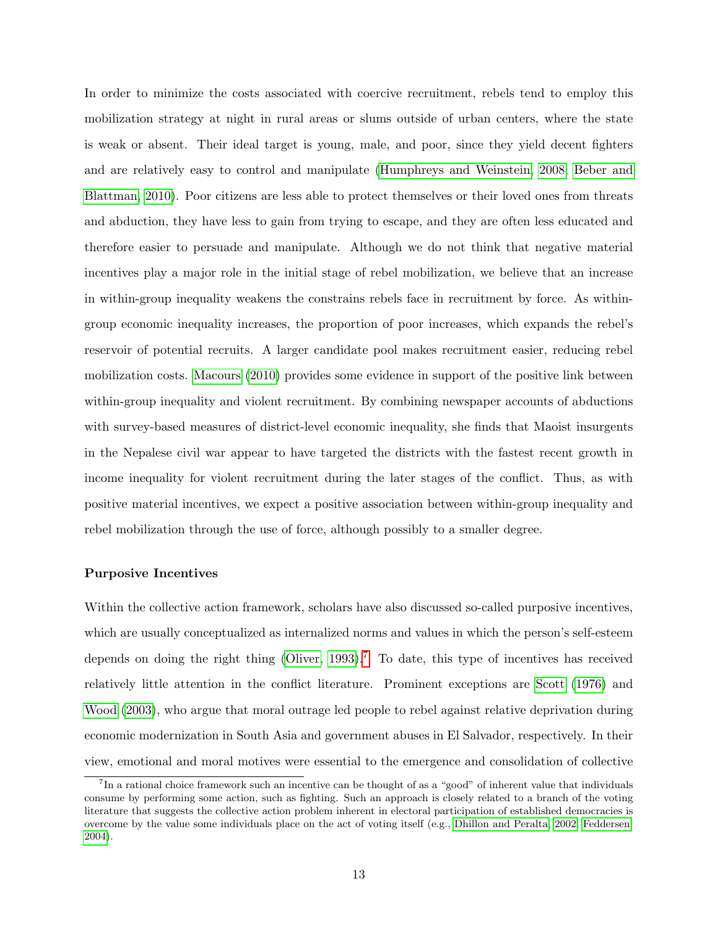In order to minimize the costs associated with coercive recruitment, rebels tend to employ this mobilization strategy at night in rural areas or slums outside of urban centers, where the state is weak or absent. Their ideal target is young, male, and poor, since they yield decent fighters and are relatively easy to control and manipulate [\(Humphreys and Weinstein, 2008;](#page-35-10) [Beber and](#page-33-8) [Blattman, 2010\)](#page-33-8). Poor citizens are less able to protect themselves or their loved ones from threats and abduction, they have less to gain from trying to escape, and they are often less educated and therefore easier to persuade and manipulate. Although we do not think that negative material incentives play a major role in the initial stage of rebel mobilization, we believe that an increase in within-group inequality weakens the constrains rebels face in recruitment by force. As withingroup economic inequality increases, the proportion of poor increases, which expands the rebel's reservoir of potential recruits. A larger candidate pool makes recruitment easier, reducing rebel mobilization costs. [Macours](#page-35-11) [\(2010\)](#page-35-11) provides some evidence in support of the positive link between within-group inequality and violent recruitment. By combining newspaper accounts of abductions with survey-based measures of district-level economic inequality, she finds that Maoist insurgents in the Nepalese civil war appear to have targeted the districts with the fastest recent growth in income inequality for violent recruitment during the later stages of the conflict. Thus, as with positive material incentives, we expect a positive association between within-group inequality and rebel mobilization through the use of force, although possibly to a smaller degree.

#### Purposive Incentives

Within the collective action framework, scholars have also discussed so-called purposive incentives, which are usually conceptualized as internalized norms and values in which the person's self-esteem depends on doing the right thing  $(Oliver, 1993).$  $(Oliver, 1993).$ <sup>[7](#page-13-0)</sup> To date, this type of incentives has received relatively little attention in the conflict literature. Prominent exceptions are [Scott](#page-36-12) [\(1976\)](#page-36-12) and [Wood](#page-37-0) [\(2003\)](#page-37-0), who argue that moral outrage led people to rebel against relative deprivation during economic modernization in South Asia and government abuses in El Salvador, respectively. In their view, emotional and moral motives were essential to the emergence and consolidation of collective

<span id="page-13-0"></span><sup>&</sup>lt;sup>7</sup>In a rational choice framework such an incentive can be thought of as a "good" of inherent value that individuals consume by performing some action, such as fighting. Such an approach is closely related to a branch of the voting literature that suggests the collective action problem inherent in electoral participation of established democracies is overcome by the value some individuals place on the act of voting itself (e.g., [Dhillon and Peralta, 2002;](#page-34-14) [Feddersen,](#page-34-15) [2004\)](#page-34-15).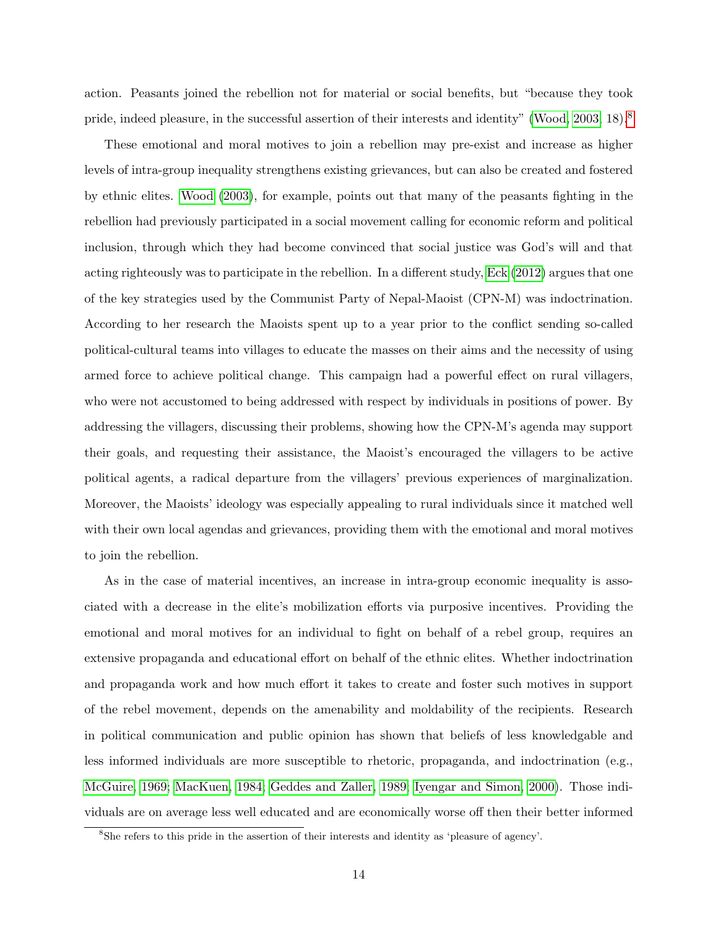action. Peasants joined the rebellion not for material or social benefits, but "because they took pride, indeed pleasure, in the successful assertion of their interests and identity" [\(Wood, 2003,](#page-37-0) 18).[8](#page-14-0)

These emotional and moral motives to join a rebellion may pre-exist and increase as higher levels of intra-group inequality strengthens existing grievances, but can also be created and fostered by ethnic elites. [Wood](#page-37-0) [\(2003\)](#page-37-0), for example, points out that many of the peasants fighting in the rebellion had previously participated in a social movement calling for economic reform and political inclusion, through which they had become convinced that social justice was God's will and that acting righteously was to participate in the rebellion. In a different study, [Eck](#page-34-16) [\(2012\)](#page-34-16) argues that one of the key strategies used by the Communist Party of Nepal-Maoist (CPN-M) was indoctrination. According to her research the Maoists spent up to a year prior to the conflict sending so-called political-cultural teams into villages to educate the masses on their aims and the necessity of using armed force to achieve political change. This campaign had a powerful effect on rural villagers, who were not accustomed to being addressed with respect by individuals in positions of power. By addressing the villagers, discussing their problems, showing how the CPN-M's agenda may support their goals, and requesting their assistance, the Maoist's encouraged the villagers to be active political agents, a radical departure from the villagers' previous experiences of marginalization. Moreover, the Maoists' ideology was especially appealing to rural individuals since it matched well with their own local agendas and grievances, providing them with the emotional and moral motives to join the rebellion.

As in the case of material incentives, an increase in intra-group economic inequality is associated with a decrease in the elite's mobilization efforts via purposive incentives. Providing the emotional and moral motives for an individual to fight on behalf of a rebel group, requires an extensive propaganda and educational effort on behalf of the ethnic elites. Whether indoctrination and propaganda work and how much effort it takes to create and foster such motives in support of the rebel movement, depends on the amenability and moldability of the recipients. Research in political communication and public opinion has shown that beliefs of less knowledgable and less informed individuals are more susceptible to rhetoric, propaganda, and indoctrination (e.g., [McGuire, 1969;](#page-35-12) [MacKuen, 1984;](#page-35-13) [Geddes and Zaller, 1989;](#page-34-17) [Iyengar and Simon, 2000\)](#page-35-14). Those individuals are on average less well educated and are economically worse off then their better informed

<span id="page-14-0"></span><sup>8</sup>She refers to this pride in the assertion of their interests and identity as 'pleasure of agency'.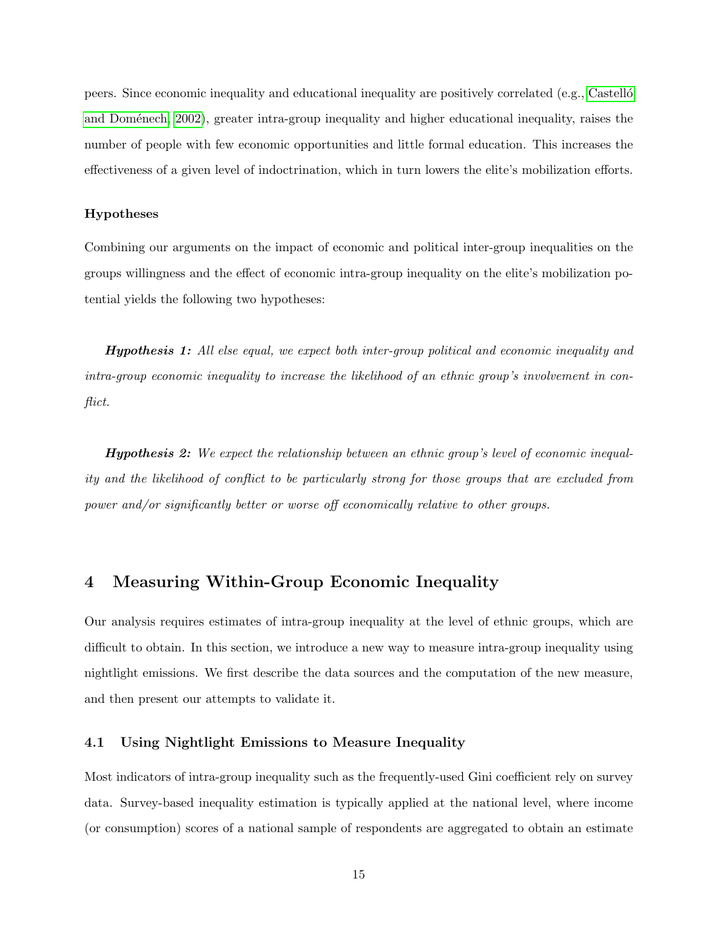peers. Since economic inequality and educational inequality are positively correlated (e.g., Castello and Doménech, 2002), greater intra-group inequality and higher educational inequality, raises the number of people with few economic opportunities and little formal education. This increases the effectiveness of a given level of indoctrination, which in turn lowers the elite's mobilization efforts.

#### Hypotheses

Combining our arguments on the impact of economic and political inter-group inequalities on the groups willingness and the effect of economic intra-group inequality on the elite's mobilization potential yields the following two hypotheses:

Hypothesis 1: All else equal, we expect both inter-group political and economic inequality and intra-group economic inequality to increase the likelihood of an ethnic group's involvement in conflict.

Hypothesis 2: We expect the relationship between an ethnic group's level of economic inequality and the likelihood of conflict to be particularly strong for those groups that are excluded from power and/or significantly better or worse off economically relative to other groups.

## 4 Measuring Within-Group Economic Inequality

Our analysis requires estimates of intra-group inequality at the level of ethnic groups, which are difficult to obtain. In this section, we introduce a new way to measure intra-group inequality using nightlight emissions. We first describe the data sources and the computation of the new measure, and then present our attempts to validate it.

#### 4.1 Using Nightlight Emissions to Measure Inequality

Most indicators of intra-group inequality such as the frequently-used Gini coefficient rely on survey data. Survey-based inequality estimation is typically applied at the national level, where income (or consumption) scores of a national sample of respondents are aggregated to obtain an estimate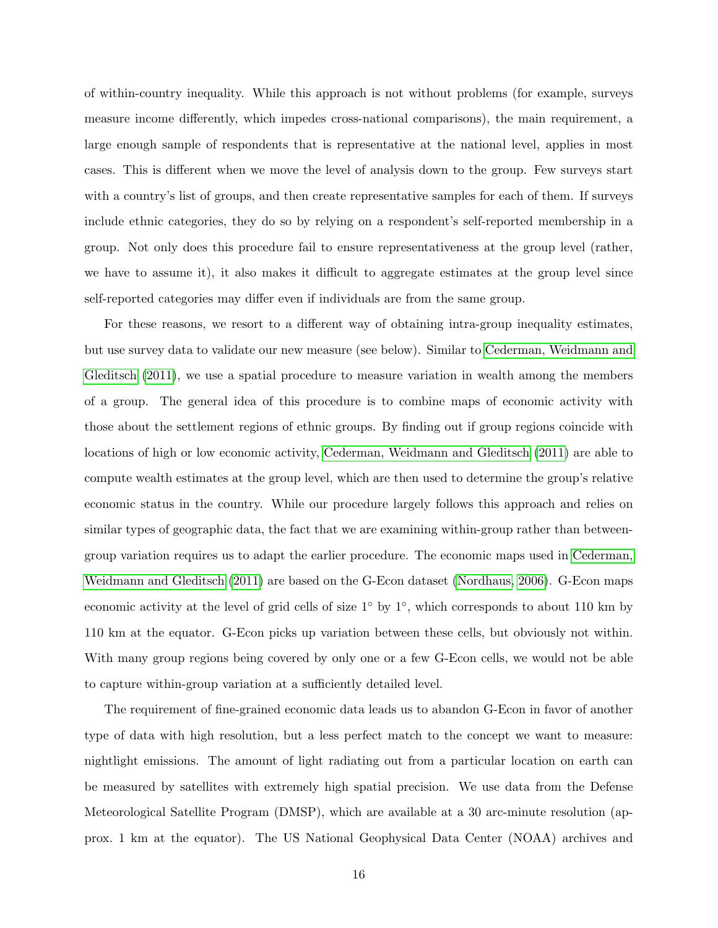of within-country inequality. While this approach is not without problems (for example, surveys measure income differently, which impedes cross-national comparisons), the main requirement, a large enough sample of respondents that is representative at the national level, applies in most cases. This is different when we move the level of analysis down to the group. Few surveys start with a country's list of groups, and then create representative samples for each of them. If surveys include ethnic categories, they do so by relying on a respondent's self-reported membership in a group. Not only does this procedure fail to ensure representativeness at the group level (rather, we have to assume it), it also makes it difficult to aggregate estimates at the group level since self-reported categories may differ even if individuals are from the same group.

For these reasons, we resort to a different way of obtaining intra-group inequality estimates, but use survey data to validate our new measure (see below). Similar to [Cederman, Weidmann and](#page-33-2) [Gleditsch](#page-33-2) [\(2011\)](#page-33-2), we use a spatial procedure to measure variation in wealth among the members of a group. The general idea of this procedure is to combine maps of economic activity with those about the settlement regions of ethnic groups. By finding out if group regions coincide with locations of high or low economic activity, [Cederman, Weidmann and Gleditsch](#page-33-2) [\(2011\)](#page-33-2) are able to compute wealth estimates at the group level, which are then used to determine the group's relative economic status in the country. While our procedure largely follows this approach and relies on similar types of geographic data, the fact that we are examining within-group rather than betweengroup variation requires us to adapt the earlier procedure. The economic maps used in [Cederman,](#page-33-2) [Weidmann and Gleditsch](#page-33-2) [\(2011\)](#page-33-2) are based on the G-Econ dataset [\(Nordhaus, 2006\)](#page-36-13). G-Econ maps economic activity at the level of grid cells of size 1<sup>°</sup> by 1<sup>°</sup>, which corresponds to about 110 km by 110 km at the equator. G-Econ picks up variation between these cells, but obviously not within. With many group regions being covered by only one or a few G-Econ cells, we would not be able to capture within-group variation at a sufficiently detailed level.

The requirement of fine-grained economic data leads us to abandon G-Econ in favor of another type of data with high resolution, but a less perfect match to the concept we want to measure: nightlight emissions. The amount of light radiating out from a particular location on earth can be measured by satellites with extremely high spatial precision. We use data from the Defense Meteorological Satellite Program (DMSP), which are available at a 30 arc-minute resolution (approx. 1 km at the equator). The US National Geophysical Data Center (NOAA) archives and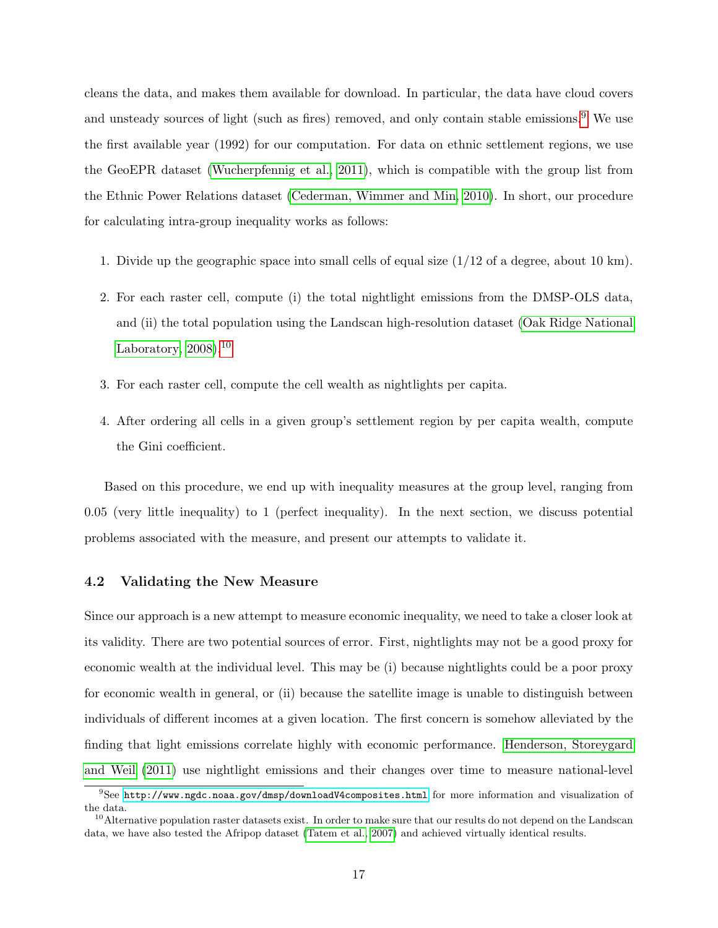cleans the data, and makes them available for download. In particular, the data have cloud covers and unsteady sources of light (such as fires) removed, and only contain stable emissions.<sup>[9](#page-17-0)</sup> We use the first available year (1992) for our computation. For data on ethnic settlement regions, we use the GeoEPR dataset [\(Wucherpfennig et al., 2011\)](#page-37-8), which is compatible with the group list from the Ethnic Power Relations dataset [\(Cederman, Wimmer and Min, 2010\)](#page-33-1). In short, our procedure for calculating intra-group inequality works as follows:

- 1. Divide up the geographic space into small cells of equal size  $(1/12 \text{ of a degree, about } 10 \text{ km})$ .
- 2. For each raster cell, compute (i) the total nightlight emissions from the DMSP-OLS data, and (ii) the total population using the Landscan high-resolution dataset [\(Oak Ridge National](#page-36-14) Laboratory,  $2008$ ).<sup>[10](#page-17-1)</sup>
- 3. For each raster cell, compute the cell wealth as nightlights per capita.
- 4. After ordering all cells in a given group's settlement region by per capita wealth, compute the Gini coefficient.

Based on this procedure, we end up with inequality measures at the group level, ranging from 0.05 (very little inequality) to 1 (perfect inequality). In the next section, we discuss potential problems associated with the measure, and present our attempts to validate it.

### 4.2 Validating the New Measure

Since our approach is a new attempt to measure economic inequality, we need to take a closer look at its validity. There are two potential sources of error. First, nightlights may not be a good proxy for economic wealth at the individual level. This may be (i) because nightlights could be a poor proxy for economic wealth in general, or (ii) because the satellite image is unable to distinguish between individuals of different incomes at a given location. The first concern is somehow alleviated by the finding that light emissions correlate highly with economic performance. [Henderson, Storeygard](#page-34-3) [and Weil](#page-34-3) [\(2011\)](#page-34-3) use nightlight emissions and their changes over time to measure national-level

<span id="page-17-0"></span><sup>9</sup>See <http://www.ngdc.noaa.gov/dmsp/downloadV4composites.html> for more information and visualization of the data.

<span id="page-17-1"></span> $10$ Alternative population raster datasets exist. In order to make sure that our results do not depend on the Landscan data, we have also tested the Afripop dataset [\(Tatem et al., 2007\)](#page-37-9) and achieved virtually identical results.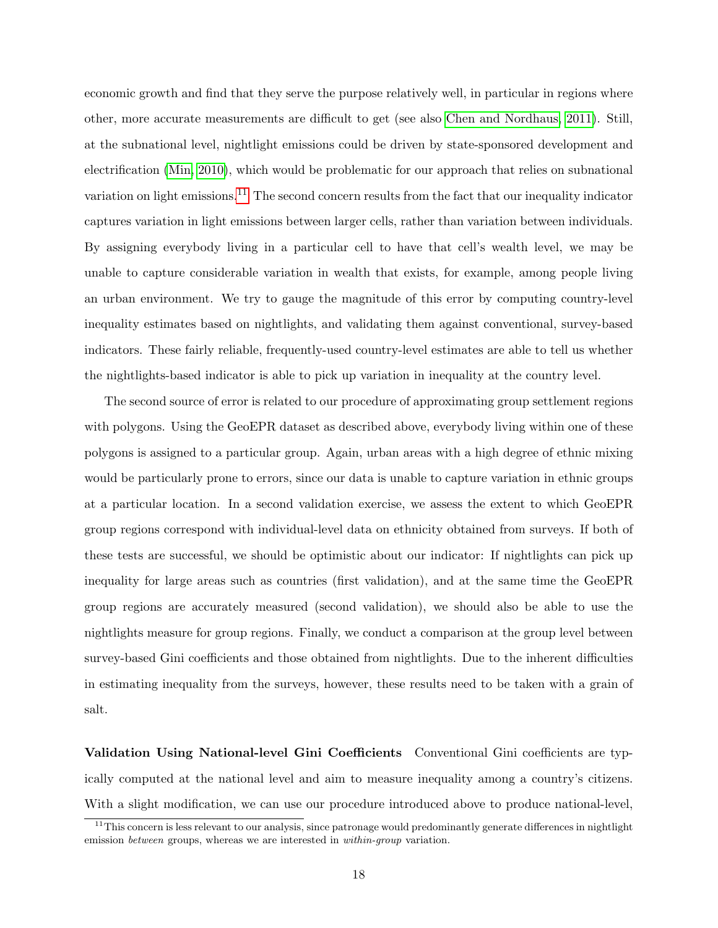economic growth and find that they serve the purpose relatively well, in particular in regions where other, more accurate measurements are difficult to get (see also [Chen and Nordhaus, 2011\)](#page-33-10). Still, at the subnational level, nightlight emissions could be driven by state-sponsored development and electrification [\(Min, 2010\)](#page-35-15), which would be problematic for our approach that relies on subnational variation on light emissions.<sup>[11](#page-18-0)</sup> The second concern results from the fact that our inequality indicator captures variation in light emissions between larger cells, rather than variation between individuals. By assigning everybody living in a particular cell to have that cell's wealth level, we may be unable to capture considerable variation in wealth that exists, for example, among people living an urban environment. We try to gauge the magnitude of this error by computing country-level inequality estimates based on nightlights, and validating them against conventional, survey-based indicators. These fairly reliable, frequently-used country-level estimates are able to tell us whether the nightlights-based indicator is able to pick up variation in inequality at the country level.

The second source of error is related to our procedure of approximating group settlement regions with polygons. Using the GeoEPR dataset as described above, everybody living within one of these polygons is assigned to a particular group. Again, urban areas with a high degree of ethnic mixing would be particularly prone to errors, since our data is unable to capture variation in ethnic groups at a particular location. In a second validation exercise, we assess the extent to which GeoEPR group regions correspond with individual-level data on ethnicity obtained from surveys. If both of these tests are successful, we should be optimistic about our indicator: If nightlights can pick up inequality for large areas such as countries (first validation), and at the same time the GeoEPR group regions are accurately measured (second validation), we should also be able to use the nightlights measure for group regions. Finally, we conduct a comparison at the group level between survey-based Gini coefficients and those obtained from nightlights. Due to the inherent difficulties in estimating inequality from the surveys, however, these results need to be taken with a grain of salt.

Validation Using National-level Gini Coefficients Conventional Gini coefficients are typically computed at the national level and aim to measure inequality among a country's citizens. With a slight modification, we can use our procedure introduced above to produce national-level,

<span id="page-18-0"></span> $11$ This concern is less relevant to our analysis, since patronage would predominantly generate differences in nightlight emission *between* groups, whereas we are interested in *within-group* variation.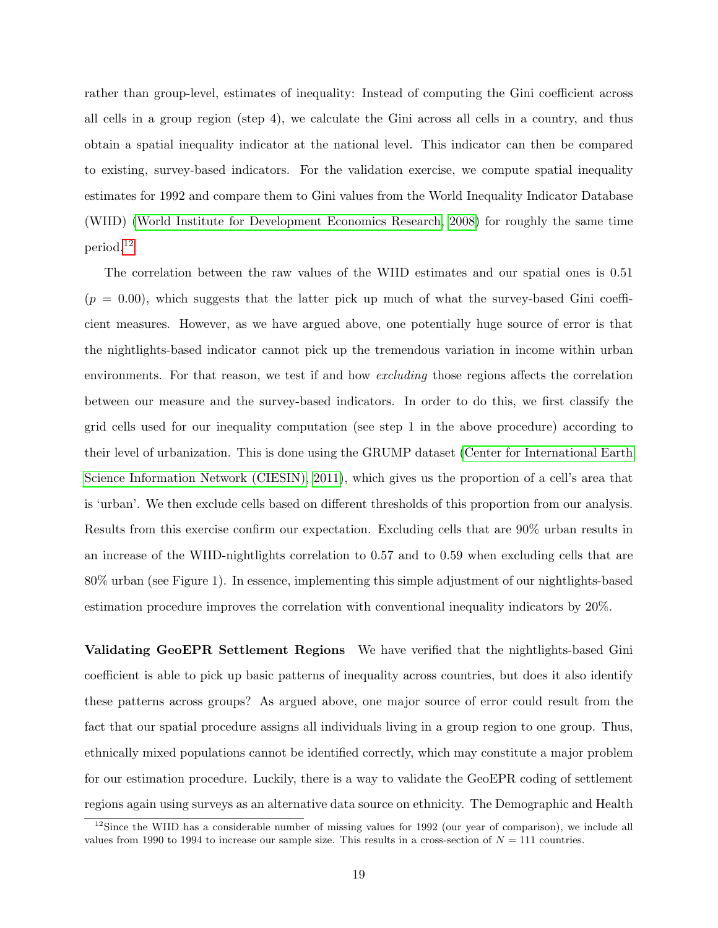rather than group-level, estimates of inequality: Instead of computing the Gini coefficient across all cells in a group region (step 4), we calculate the Gini across all cells in a country, and thus obtain a spatial inequality indicator at the national level. This indicator can then be compared to existing, survey-based indicators. For the validation exercise, we compute spatial inequality estimates for 1992 and compare them to Gini values from the World Inequality Indicator Database (WIID) [\(World Institute for Development Economics Research, 2008\)](#page-37-10) for roughly the same time period.[12](#page-19-0)

The correlation between the raw values of the WIID estimates and our spatial ones is 0.51  $(p = 0.00)$ , which suggests that the latter pick up much of what the survey-based Gini coefficient measures. However, as we have argued above, one potentially huge source of error is that the nightlights-based indicator cannot pick up the tremendous variation in income within urban environments. For that reason, we test if and how *excluding* those regions affects the correlation between our measure and the survey-based indicators. In order to do this, we first classify the grid cells used for our inequality computation (see step 1 in the above procedure) according to their level of urbanization. This is done using the GRUMP dataset [\(Center for International Earth](#page-33-11) [Science Information Network \(CIESIN\), 2011\)](#page-33-11), which gives us the proportion of a cell's area that is 'urban'. We then exclude cells based on different thresholds of this proportion from our analysis. Results from this exercise confirm our expectation. Excluding cells that are 90% urban results in an increase of the WIID-nightlights correlation to 0.57 and to 0.59 when excluding cells that are 80% urban (see Figure 1). In essence, implementing this simple adjustment of our nightlights-based estimation procedure improves the correlation with conventional inequality indicators by 20%.

Validating GeoEPR Settlement Regions We have verified that the nightlights-based Gini coefficient is able to pick up basic patterns of inequality across countries, but does it also identify these patterns across groups? As argued above, one major source of error could result from the fact that our spatial procedure assigns all individuals living in a group region to one group. Thus, ethnically mixed populations cannot be identified correctly, which may constitute a major problem for our estimation procedure. Luckily, there is a way to validate the GeoEPR coding of settlement regions again using surveys as an alternative data source on ethnicity. The Demographic and Health

<span id="page-19-0"></span><sup>&</sup>lt;sup>12</sup>Since the WIID has a considerable number of missing values for 1992 (our year of comparison), we include all values from 1990 to 1994 to increase our sample size. This results in a cross-section of  $N = 111$  countries.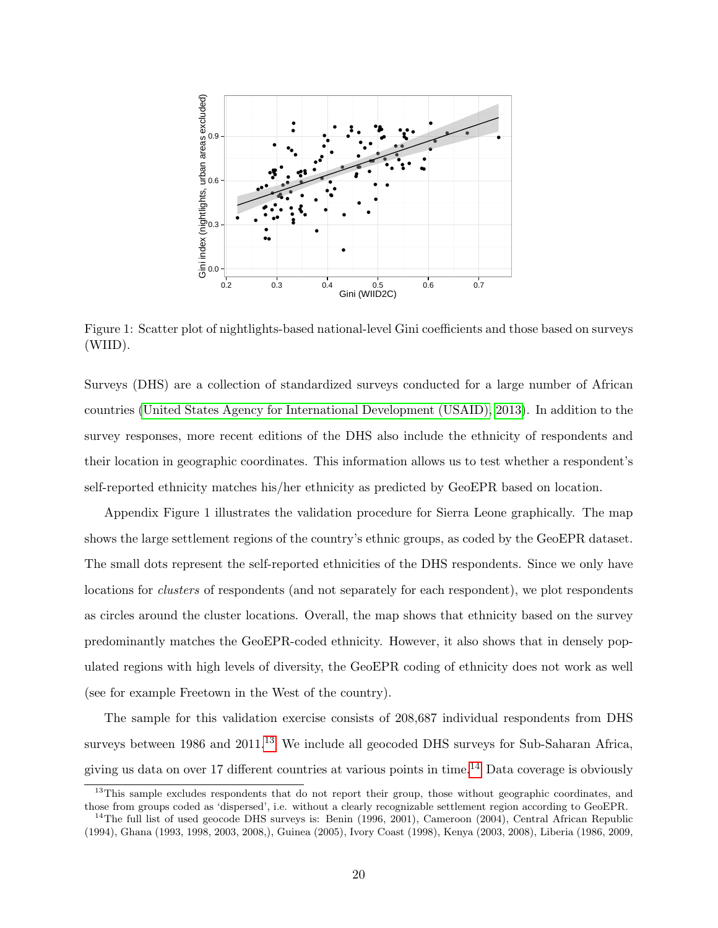

Figure 1: Scatter plot of nightlights-based national-level Gini coefficients and those based on surveys (WIID).

Surveys (DHS) are a collection of standardized surveys conducted for a large number of African countries [\(United States Agency for International Development \(USAID\), 2013\)](#page-37-11). In addition to the survey responses, more recent editions of the DHS also include the ethnicity of respondents and their location in geographic coordinates. This information allows us to test whether a respondent's self-reported ethnicity matches his/her ethnicity as predicted by GeoEPR based on location.

Appendix Figure 1 illustrates the validation procedure for Sierra Leone graphically. The map shows the large settlement regions of the country's ethnic groups, as coded by the GeoEPR dataset. The small dots represent the self-reported ethnicities of the DHS respondents. Since we only have locations for *clusters* of respondents (and not separately for each respondent), we plot respondents as circles around the cluster locations. Overall, the map shows that ethnicity based on the survey predominantly matches the GeoEPR-coded ethnicity. However, it also shows that in densely populated regions with high levels of diversity, the GeoEPR coding of ethnicity does not work as well (see for example Freetown in the West of the country).

The sample for this validation exercise consists of 208,687 individual respondents from DHS surveys between 1986 and  $2011<sup>13</sup>$  $2011<sup>13</sup>$  $2011<sup>13</sup>$  We include all geocoded DHS surveys for Sub-Saharan Africa, giving us data on over 17 different countries at various points in time.[14](#page-20-1) Data coverage is obviously

<span id="page-20-0"></span><sup>&</sup>lt;sup>13</sup>This sample excludes respondents that do not report their group, those without geographic coordinates, and those from groups coded as 'dispersed', i.e. without a clearly recognizable settlement region according to GeoEPR.

<span id="page-20-1"></span><sup>&</sup>lt;sup>14</sup>The full list of used geocode DHS surveys is: Benin (1996, 2001), Cameroon (2004), Central African Republic (1994), Ghana (1993, 1998, 2003, 2008,), Guinea (2005), Ivory Coast (1998), Kenya (2003, 2008), Liberia (1986, 2009,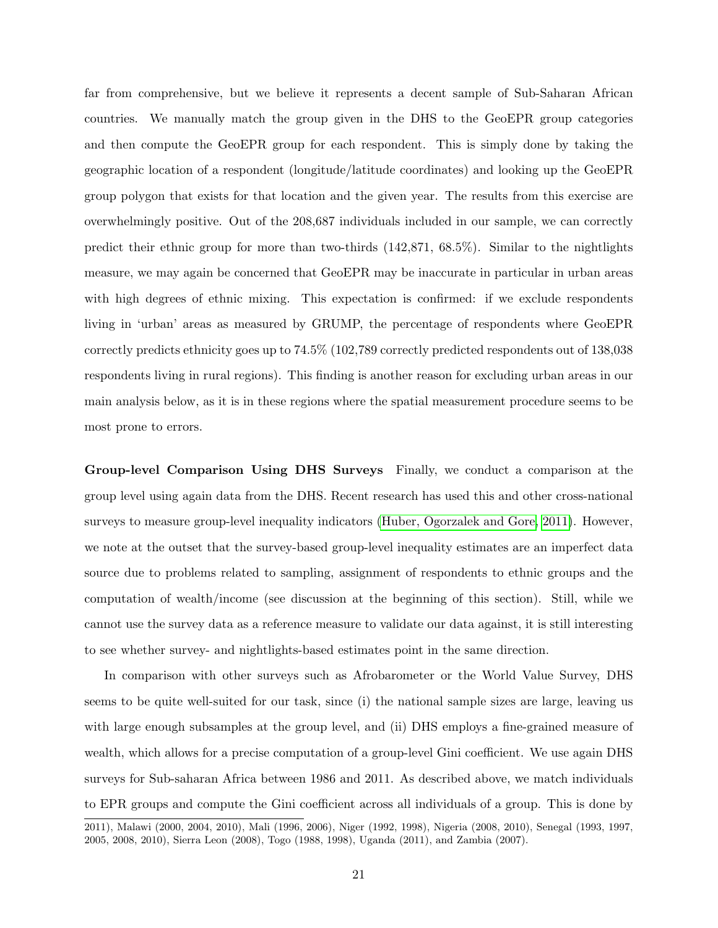far from comprehensive, but we believe it represents a decent sample of Sub-Saharan African countries. We manually match the group given in the DHS to the GeoEPR group categories and then compute the GeoEPR group for each respondent. This is simply done by taking the geographic location of a respondent (longitude/latitude coordinates) and looking up the GeoEPR group polygon that exists for that location and the given year. The results from this exercise are overwhelmingly positive. Out of the 208,687 individuals included in our sample, we can correctly predict their ethnic group for more than two-thirds (142,871, 68.5%). Similar to the nightlights measure, we may again be concerned that GeoEPR may be inaccurate in particular in urban areas with high degrees of ethnic mixing. This expectation is confirmed: if we exclude respondents living in 'urban' areas as measured by GRUMP, the percentage of respondents where GeoEPR correctly predicts ethnicity goes up to 74.5% (102,789 correctly predicted respondents out of 138,038 respondents living in rural regions). This finding is another reason for excluding urban areas in our main analysis below, as it is in these regions where the spatial measurement procedure seems to be most prone to errors.

Group-level Comparison Using DHS Surveys Finally, we conduct a comparison at the group level using again data from the DHS. Recent research has used this and other cross-national surveys to measure group-level inequality indicators [\(Huber, Ogorzalek and Gore, 2011\)](#page-35-16). However, we note at the outset that the survey-based group-level inequality estimates are an imperfect data source due to problems related to sampling, assignment of respondents to ethnic groups and the computation of wealth/income (see discussion at the beginning of this section). Still, while we cannot use the survey data as a reference measure to validate our data against, it is still interesting to see whether survey- and nightlights-based estimates point in the same direction.

In comparison with other surveys such as Afrobarometer or the World Value Survey, DHS seems to be quite well-suited for our task, since (i) the national sample sizes are large, leaving us with large enough subsamples at the group level, and (ii) DHS employs a fine-grained measure of wealth, which allows for a precise computation of a group-level Gini coefficient. We use again DHS surveys for Sub-saharan Africa between 1986 and 2011. As described above, we match individuals to EPR groups and compute the Gini coefficient across all individuals of a group. This is done by

<sup>2011),</sup> Malawi (2000, 2004, 2010), Mali (1996, 2006), Niger (1992, 1998), Nigeria (2008, 2010), Senegal (1993, 1997, 2005, 2008, 2010), Sierra Leon (2008), Togo (1988, 1998), Uganda (2011), and Zambia (2007).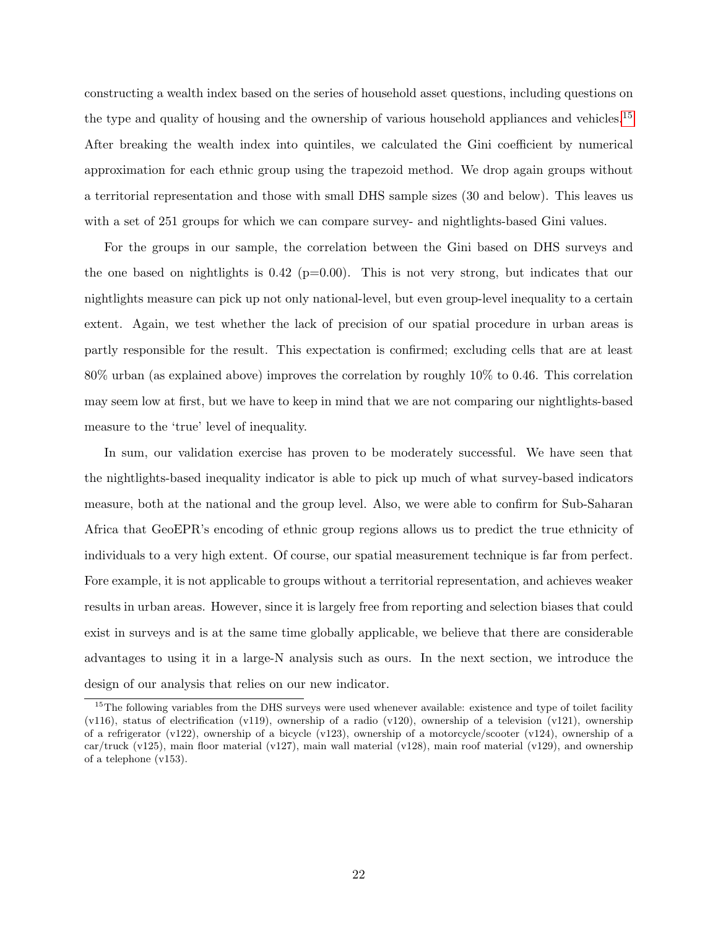constructing a wealth index based on the series of household asset questions, including questions on the type and quality of housing and the ownership of various household appliances and vehicles.<sup>[15](#page-22-0)</sup> After breaking the wealth index into quintiles, we calculated the Gini coefficient by numerical approximation for each ethnic group using the trapezoid method. We drop again groups without a territorial representation and those with small DHS sample sizes (30 and below). This leaves us with a set of 251 groups for which we can compare survey- and nightlights-based Gini values.

For the groups in our sample, the correlation between the Gini based on DHS surveys and the one based on nightlights is  $0.42$  (p=0.00). This is not very strong, but indicates that our nightlights measure can pick up not only national-level, but even group-level inequality to a certain extent. Again, we test whether the lack of precision of our spatial procedure in urban areas is partly responsible for the result. This expectation is confirmed; excluding cells that are at least 80% urban (as explained above) improves the correlation by roughly 10% to 0.46. This correlation may seem low at first, but we have to keep in mind that we are not comparing our nightlights-based measure to the 'true' level of inequality.

In sum, our validation exercise has proven to be moderately successful. We have seen that the nightlights-based inequality indicator is able to pick up much of what survey-based indicators measure, both at the national and the group level. Also, we were able to confirm for Sub-Saharan Africa that GeoEPR's encoding of ethnic group regions allows us to predict the true ethnicity of individuals to a very high extent. Of course, our spatial measurement technique is far from perfect. Fore example, it is not applicable to groups without a territorial representation, and achieves weaker results in urban areas. However, since it is largely free from reporting and selection biases that could exist in surveys and is at the same time globally applicable, we believe that there are considerable advantages to using it in a large-N analysis such as ours. In the next section, we introduce the design of our analysis that relies on our new indicator.

<span id="page-22-0"></span><sup>&</sup>lt;sup>15</sup>The following variables from the DHS surveys were used whenever available: existence and type of toilet facility (v116), status of electrification (v119), ownership of a radio (v120), ownership of a television (v121), ownership of a refrigerator (v122), ownership of a bicycle (v123), ownership of a motorcycle/scooter (v124), ownership of a car/truck (v125), main floor material (v127), main wall material (v128), main roof material (v129), and ownership of a telephone (v153).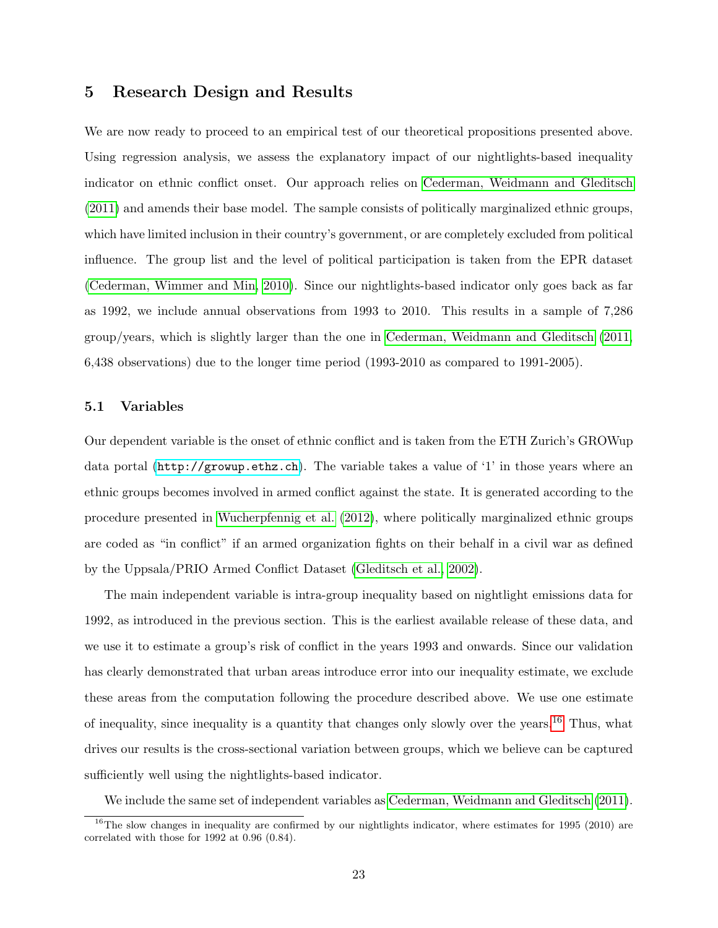# 5 Research Design and Results

We are now ready to proceed to an empirical test of our theoretical propositions presented above. Using regression analysis, we assess the explanatory impact of our nightlights-based inequality indicator on ethnic conflict onset. Our approach relies on [Cederman, Weidmann and Gleditsch](#page-33-2) [\(2011\)](#page-33-2) and amends their base model. The sample consists of politically marginalized ethnic groups, which have limited inclusion in their country's government, or are completely excluded from political influence. The group list and the level of political participation is taken from the EPR dataset [\(Cederman, Wimmer and Min, 2010\)](#page-33-1). Since our nightlights-based indicator only goes back as far as 1992, we include annual observations from 1993 to 2010. This results in a sample of 7,286 group/years, which is slightly larger than the one in [Cederman, Weidmann and Gleditsch](#page-33-2) [\(2011,](#page-33-2) 6,438 observations) due to the longer time period (1993-2010 as compared to 1991-2005).

#### 5.1 Variables

Our dependent variable is the onset of ethnic conflict and is taken from the ETH Zurich's GROWup data portal (<http://growup.ethz.ch>). The variable takes a value of '1' in those years where an ethnic groups becomes involved in armed conflict against the state. It is generated according to the procedure presented in [Wucherpfennig et al.](#page-37-12) [\(2012\)](#page-37-12), where politically marginalized ethnic groups are coded as "in conflict" if an armed organization fights on their behalf in a civil war as defined by the Uppsala/PRIO Armed Conflict Dataset [\(Gleditsch et al., 2002\)](#page-34-18).

The main independent variable is intra-group inequality based on nightlight emissions data for 1992, as introduced in the previous section. This is the earliest available release of these data, and we use it to estimate a group's risk of conflict in the years 1993 and onwards. Since our validation has clearly demonstrated that urban areas introduce error into our inequality estimate, we exclude these areas from the computation following the procedure described above. We use one estimate of inequality, since inequality is a quantity that changes only slowly over the years.<sup>[16](#page-23-0)</sup> Thus, what drives our results is the cross-sectional variation between groups, which we believe can be captured sufficiently well using the nightlights-based indicator.

<span id="page-23-0"></span>We include the same set of independent variables as [Cederman, Weidmann and Gleditsch](#page-33-2) [\(2011\)](#page-33-2).

 $16$ The slow changes in inequality are confirmed by our nightlights indicator, where estimates for 1995 (2010) are correlated with those for 1992 at 0.96 (0.84).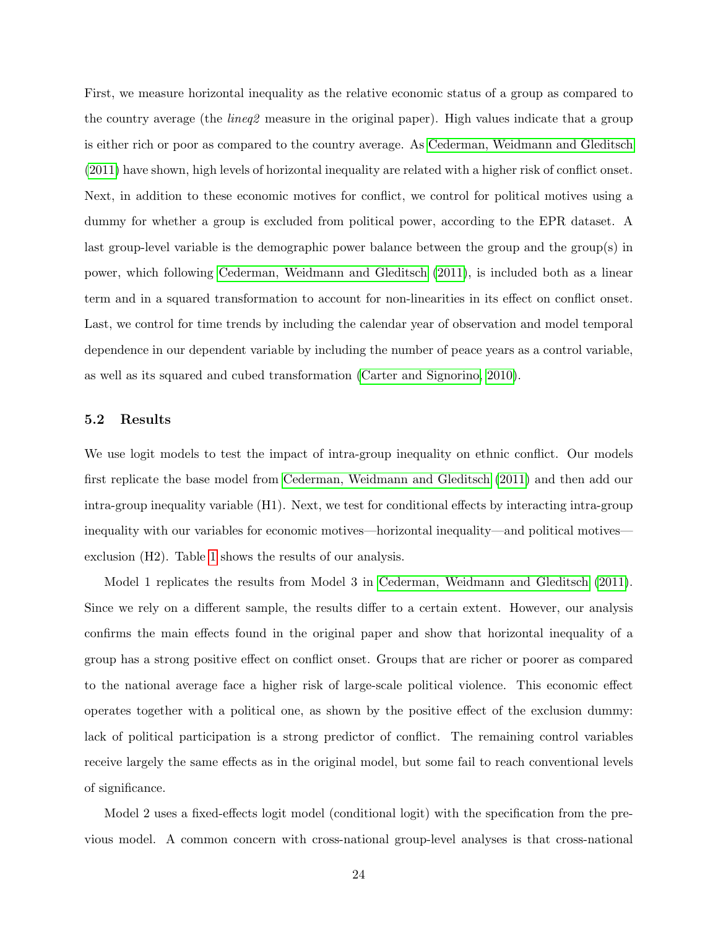First, we measure horizontal inequality as the relative economic status of a group as compared to the country average (the lineq2 measure in the original paper). High values indicate that a group is either rich or poor as compared to the country average. As [Cederman, Weidmann and Gleditsch](#page-33-2) [\(2011\)](#page-33-2) have shown, high levels of horizontal inequality are related with a higher risk of conflict onset. Next, in addition to these economic motives for conflict, we control for political motives using a dummy for whether a group is excluded from political power, according to the EPR dataset. A last group-level variable is the demographic power balance between the group and the group(s) in power, which following [Cederman, Weidmann and Gleditsch](#page-33-2) [\(2011\)](#page-33-2), is included both as a linear term and in a squared transformation to account for non-linearities in its effect on conflict onset. Last, we control for time trends by including the calendar year of observation and model temporal dependence in our dependent variable by including the number of peace years as a control variable, as well as its squared and cubed transformation [\(Carter and Signorino, 2010\)](#page-33-12).

#### 5.2 Results

We use logit models to test the impact of intra-group inequality on ethnic conflict. Our models first replicate the base model from [Cederman, Weidmann and Gleditsch](#page-33-2) [\(2011\)](#page-33-2) and then add our intra-group inequality variable (H1). Next, we test for conditional effects by interacting intra-group inequality with our variables for economic motives—horizontal inequality—and political motives exclusion (H2). Table [1](#page-25-0) shows the results of our analysis.

Model 1 replicates the results from Model 3 in [Cederman, Weidmann and Gleditsch](#page-33-2) [\(2011\)](#page-33-2). Since we rely on a different sample, the results differ to a certain extent. However, our analysis confirms the main effects found in the original paper and show that horizontal inequality of a group has a strong positive effect on conflict onset. Groups that are richer or poorer as compared to the national average face a higher risk of large-scale political violence. This economic effect operates together with a political one, as shown by the positive effect of the exclusion dummy: lack of political participation is a strong predictor of conflict. The remaining control variables receive largely the same effects as in the original model, but some fail to reach conventional levels of significance.

Model 2 uses a fixed-effects logit model (conditional logit) with the specification from the previous model. A common concern with cross-national group-level analyses is that cross-national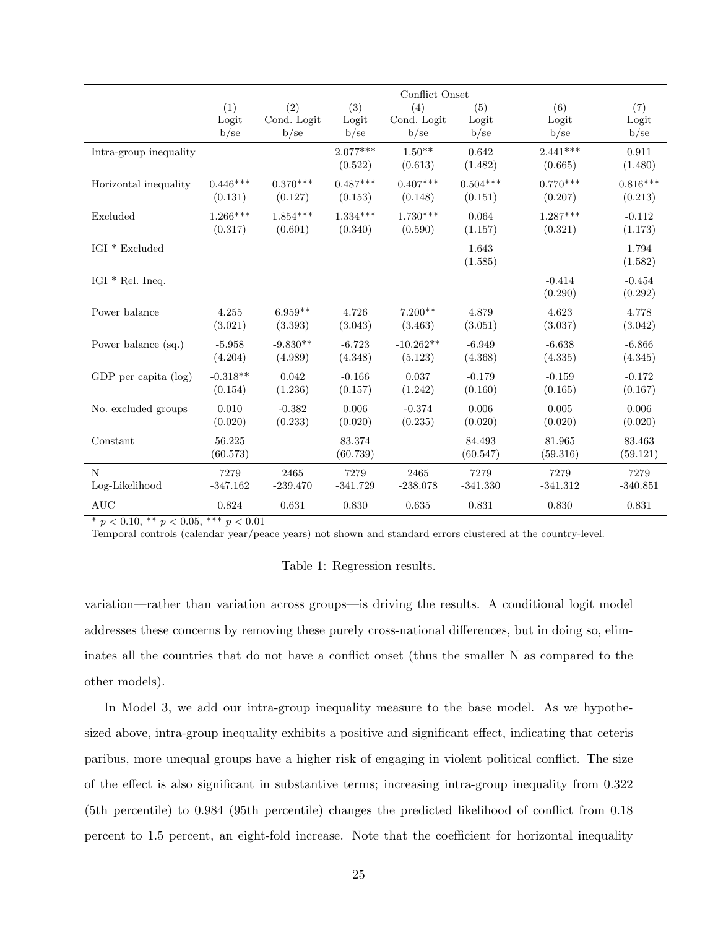|                         | Conflict Onset |             |            |             |                  |            |            |
|-------------------------|----------------|-------------|------------|-------------|------------------|------------|------------|
|                         | (1)            | (2)         | (3)        | (4)         | (5)              | (6)        | (7)        |
|                         | Logit          | Cond. Logit | Logit      | Cond. Logit | Logit            | Logit      | Logit      |
|                         | $b$ /se        | b/sec       | b/sec      | $b$ /se     | $b$ /se          | b/sec      | b/sec      |
| Intra-group inequality  |                |             | $2.077***$ | $1.50**$    | 0.642            | $2.441***$ | 0.911      |
|                         |                |             | (0.522)    | (0.613)     | (1.482)          | (0.665)    | (1.480)    |
| Horizontal inequality   | $0.446***$     | $0.370***$  | $0.487***$ | $0.407***$  | $0.504***$       | $0.770***$ | $0.816***$ |
|                         | (0.131)        | (0.127)     | (0.153)    | (0.148)     | (0.151)          | (0.207)    | (0.213)    |
| Excluded                | $1.266***$     | $1.854***$  | $1.334***$ | $1.730***$  | 0.064            | $1.287***$ | $-0.112$   |
|                         | (0.317)        | (0.601)     | (0.340)    | (0.590)     | (1.157)          | (0.321)    | (1.173)    |
|                         |                |             |            |             |                  |            |            |
| $IGI * Excluded$        |                |             |            |             | 1.643<br>(1.585) |            | 1.794      |
|                         |                |             |            |             |                  |            | (1.582)    |
| $IGI * Rel. Ineq.$      |                |             |            |             |                  | $-0.414$   | $-0.454$   |
|                         |                |             |            |             |                  | (0.290)    | (0.292)    |
| Power balance           | 4.255          | $6.959**$   | 4.726      | $7.200**$   | 4.879            | 4.623      | 4.778      |
|                         | (3.021)        | (3.393)     | (3.043)    | (3.463)     | (3.051)          | (3.037)    | (3.042)    |
| Power balance (sq.)     | $-5.958$       | $-9.830**$  | $-6.723$   | $-10.262**$ | $-6.949$         | $-6.638$   | $-6.866$   |
|                         | (4.204)        | (4.989)     | (4.348)    | (5.123)     | (4.368)          | (4.335)    | (4.345)    |
| GDP per capita $(\log)$ | $-0.318**$     | 0.042       | $-0.166$   | 0.037       | $-0.179$         | $-0.159$   | $-0.172$   |
|                         | (0.154)        | (1.236)     | (0.157)    | (1.242)     | (0.160)          | (0.165)    | (0.167)    |
|                         | 0.010          | $-0.382$    | 0.006      | $-0.374$    | 0.006            | 0.005      | 0.006      |
| No. excluded groups     | (0.020)        | (0.233)     | (0.020)    | (0.235)     | (0.020)          | (0.020)    | (0.020)    |
|                         |                |             |            |             |                  |            |            |
| Constant                | 56.225         |             | 83.374     |             | 84.493           | 81.965     | 83.463     |
|                         | (60.573)       |             | (60.739)   |             | (60.547)         | (59.316)   | (59.121)   |
| N                       | 7279           | 2465        | 7279       | 2465        | 7279             | 7279       | 7279       |
| Log-Likelihood          | $-347.162$     | $-239.470$  | $-341.729$ | $-238.078$  | $-341.330$       | $-341.312$ | $-340.851$ |
| <b>AUC</b>              | 0.824          | 0.631       | 0.830      | 0.635       | $\,0.831\,$      | 0.830      | 0.831      |

Temporal controls (calendar year/peace years) not shown and standard errors clustered at the country-level.

#### <span id="page-25-0"></span>Table 1: Regression results.

variation—rather than variation across groups—is driving the results. A conditional logit model addresses these concerns by removing these purely cross-national differences, but in doing so, eliminates all the countries that do not have a conflict onset (thus the smaller N as compared to the other models).

In Model 3, we add our intra-group inequality measure to the base model. As we hypothesized above, intra-group inequality exhibits a positive and significant effect, indicating that ceteris paribus, more unequal groups have a higher risk of engaging in violent political conflict. The size of the effect is also significant in substantive terms; increasing intra-group inequality from 0.322 (5th percentile) to 0.984 (95th percentile) changes the predicted likelihood of conflict from 0.18 percent to 1.5 percent, an eight-fold increase. Note that the coefficient for horizontal inequality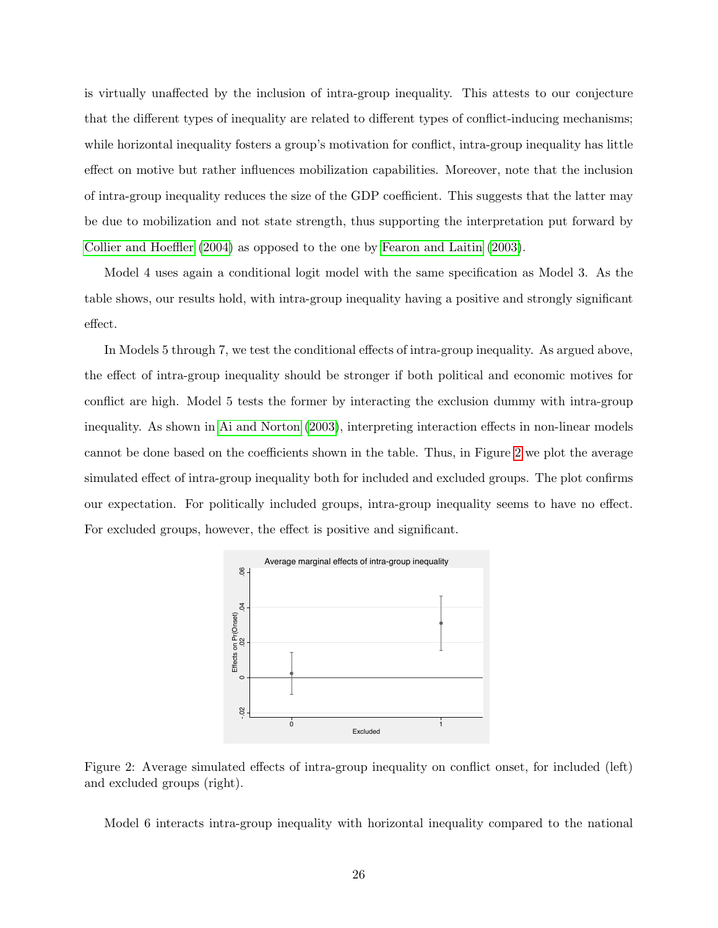is virtually unaffected by the inclusion of intra-group inequality. This attests to our conjecture that the different types of inequality are related to different types of conflict-inducing mechanisms; while horizontal inequality fosters a group's motivation for conflict, intra-group inequality has little effect on motive but rather influences mobilization capabilities. Moreover, note that the inclusion of intra-group inequality reduces the size of the GDP coefficient. This suggests that the latter may be due to mobilization and not state strength, thus supporting the interpretation put forward by [Collier and Hoeffler](#page-33-0) [\(2004\)](#page-33-0) as opposed to the one by [Fearon and Laitin](#page-34-0) [\(2003\)](#page-34-0).

Model 4 uses again a conditional logit model with the same specification as Model 3. As the table shows, our results hold, with intra-group inequality having a positive and strongly significant effect.

In Models 5 through 7, we test the conditional effects of intra-group inequality. As argued above, the effect of intra-group inequality should be stronger if both political and economic motives for conflict are high. Model 5 tests the former by interacting the exclusion dummy with intra-group inequality. As shown in [Ai and Norton](#page-33-13) [\(2003\)](#page-33-13), interpreting interaction effects in non-linear models cannot be done based on the coefficients shown in the table. Thus, in Figure [2](#page-26-0) we plot the average simulated effect of intra-group inequality both for included and excluded groups. The plot confirms our expectation. For politically included groups, intra-group inequality seems to have no effect. For excluded groups, however, the effect is positive and significant.

<span id="page-26-0"></span>

Figure 2: Average simulated effects of intra-group inequality on conflict onset, for included (left) and excluded groups (right).

Model 6 interacts intra-group inequality with horizontal inequality compared to the national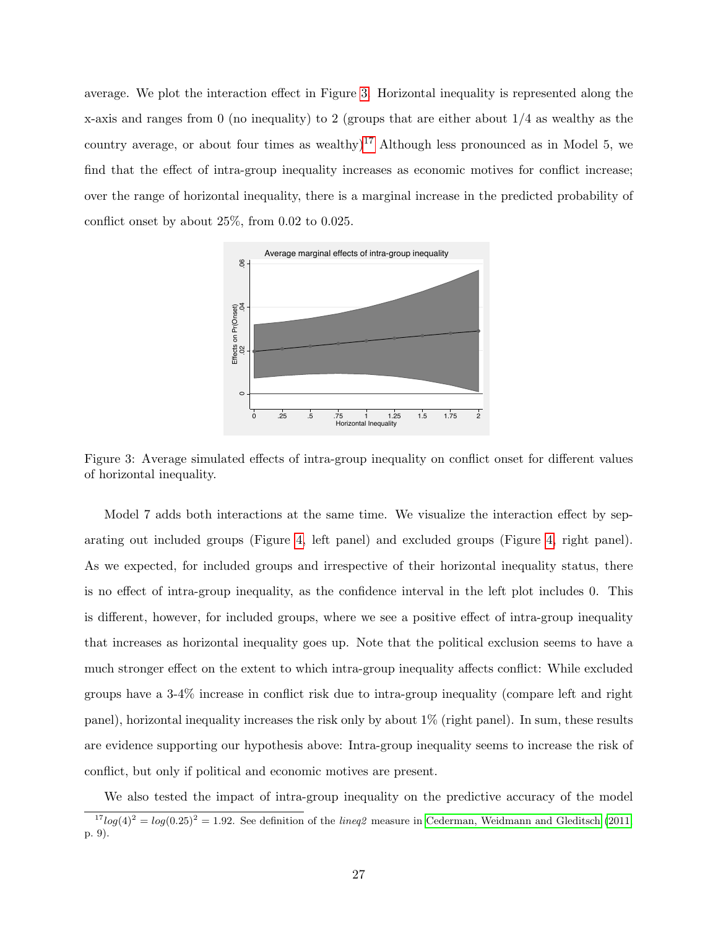average. We plot the interaction effect in Figure [3.](#page-27-0) Horizontal inequality is represented along the x-axis and ranges from 0 (no inequality) to 2 (groups that are either about  $1/4$  as wealthy as the country average, or about four times as wealthy)<sup>[17](#page-27-1)</sup> Although less pronounced as in Model 5, we find that the effect of intra-group inequality increases as economic motives for conflict increase; over the range of horizontal inequality, there is a marginal increase in the predicted probability of conflict onset by about 25%, from 0.02 to 0.025.

<span id="page-27-0"></span>

Figure 3: Average simulated effects of intra-group inequality on conflict onset for different values of horizontal inequality.

Model 7 adds both interactions at the same time. We visualize the interaction effect by separating out included groups (Figure [4,](#page-28-0) left panel) and excluded groups (Figure [4,](#page-28-0) right panel). As we expected, for included groups and irrespective of their horizontal inequality status, there is no effect of intra-group inequality, as the confidence interval in the left plot includes 0. This is different, however, for included groups, where we see a positive effect of intra-group inequality that increases as horizontal inequality goes up. Note that the political exclusion seems to have a much stronger effect on the extent to which intra-group inequality affects conflict: While excluded groups have a 3-4% increase in conflict risk due to intra-group inequality (compare left and right panel), horizontal inequality increases the risk only by about 1% (right panel). In sum, these results are evidence supporting our hypothesis above: Intra-group inequality seems to increase the risk of conflict, but only if political and economic motives are present.

<span id="page-27-1"></span>We also tested the impact of intra-group inequality on the predictive accuracy of the model

 $\frac{17}{\log(4)^2} = \log(0.25)^2 = 1.92$ . See definition of the *lineq2* measure in [Cederman, Weidmann and Gleditsch](#page-33-2) [\(2011,](#page-33-2) p. 9).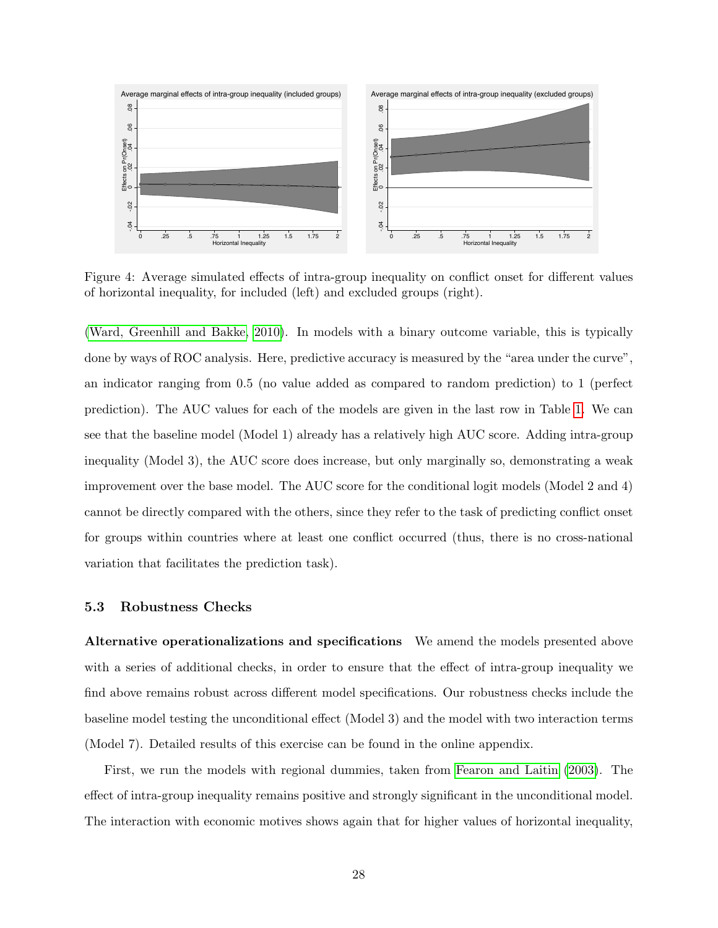

<span id="page-28-0"></span>Figure 4: Average simulated effects of intra-group inequality on conflict onset for different values of horizontal inequality, for included (left) and excluded groups (right).

[\(Ward, Greenhill and Bakke, 2010\)](#page-37-13). In models with a binary outcome variable, this is typically done by ways of ROC analysis. Here, predictive accuracy is measured by the "area under the curve", an indicator ranging from 0.5 (no value added as compared to random prediction) to 1 (perfect prediction). The AUC values for each of the models are given in the last row in Table [1.](#page-25-0) We can see that the baseline model (Model 1) already has a relatively high AUC score. Adding intra-group inequality (Model 3), the AUC score does increase, but only marginally so, demonstrating a weak improvement over the base model. The AUC score for the conditional logit models (Model 2 and 4) cannot be directly compared with the others, since they refer to the task of predicting conflict onset for groups within countries where at least one conflict occurred (thus, there is no cross-national variation that facilitates the prediction task).

#### 5.3 Robustness Checks

Alternative operationalizations and specifications We amend the models presented above with a series of additional checks, in order to ensure that the effect of intra-group inequality we find above remains robust across different model specifications. Our robustness checks include the baseline model testing the unconditional effect (Model 3) and the model with two interaction terms (Model 7). Detailed results of this exercise can be found in the online appendix.

First, we run the models with regional dummies, taken from [Fearon and Laitin](#page-34-0) [\(2003\)](#page-34-0). The effect of intra-group inequality remains positive and strongly significant in the unconditional model. The interaction with economic motives shows again that for higher values of horizontal inequality,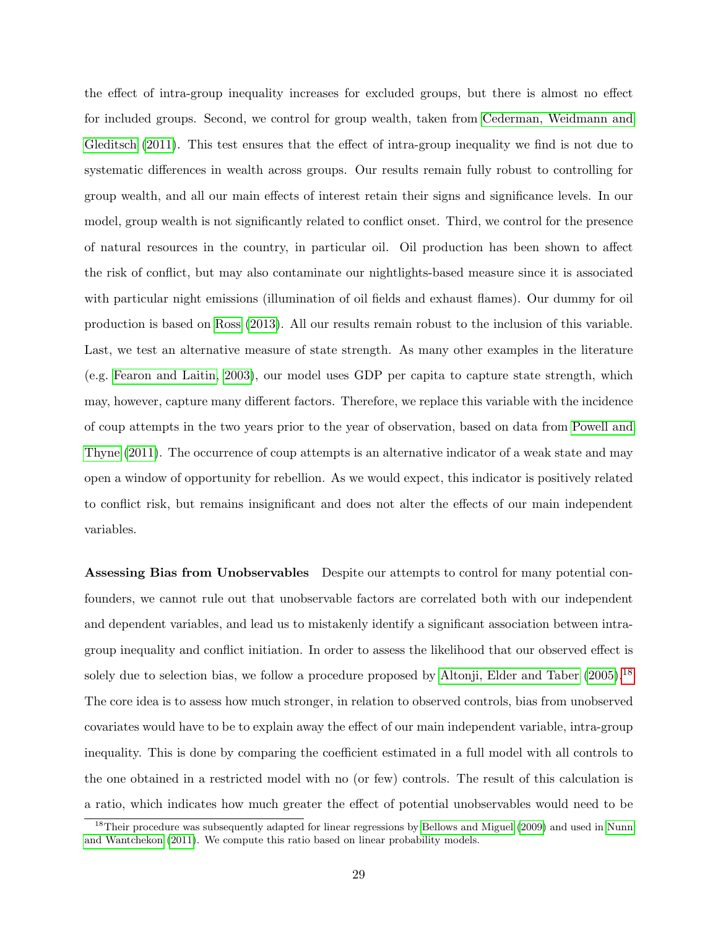the effect of intra-group inequality increases for excluded groups, but there is almost no effect for included groups. Second, we control for group wealth, taken from [Cederman, Weidmann and](#page-33-2) [Gleditsch](#page-33-2) [\(2011\)](#page-33-2). This test ensures that the effect of intra-group inequality we find is not due to systematic differences in wealth across groups. Our results remain fully robust to controlling for group wealth, and all our main effects of interest retain their signs and significance levels. In our model, group wealth is not significantly related to conflict onset. Third, we control for the presence of natural resources in the country, in particular oil. Oil production has been shown to affect the risk of conflict, but may also contaminate our nightlights-based measure since it is associated with particular night emissions (illumination of oil fields and exhaust flames). Our dummy for oil production is based on [Ross](#page-36-15) [\(2013\)](#page-36-15). All our results remain robust to the inclusion of this variable. Last, we test an alternative measure of state strength. As many other examples in the literature (e.g. [Fearon and Laitin, 2003\)](#page-34-0), our model uses GDP per capita to capture state strength, which may, however, capture many different factors. Therefore, we replace this variable with the incidence of coup attempts in the two years prior to the year of observation, based on data from [Powell and](#page-36-16) [Thyne](#page-36-16) [\(2011\)](#page-36-16). The occurrence of coup attempts is an alternative indicator of a weak state and may open a window of opportunity for rebellion. As we would expect, this indicator is positively related to conflict risk, but remains insignificant and does not alter the effects of our main independent variables.

Assessing Bias from Unobservables Despite our attempts to control for many potential confounders, we cannot rule out that unobservable factors are correlated both with our independent and dependent variables, and lead us to mistakenly identify a significant association between intragroup inequality and conflict initiation. In order to assess the likelihood that our observed effect is solely due to selection bias, we follow a procedure proposed by [Altonji, Elder and Taber](#page-33-14) [\(2005\)](#page-33-14).<sup>[18](#page-29-0)</sup> The core idea is to assess how much stronger, in relation to observed controls, bias from unobserved covariates would have to be to explain away the effect of our main independent variable, intra-group inequality. This is done by comparing the coefficient estimated in a full model with all controls to the one obtained in a restricted model with no (or few) controls. The result of this calculation is a ratio, which indicates how much greater the effect of potential unobservables would need to be

<span id="page-29-0"></span><sup>&</sup>lt;sup>18</sup>Their procedure was subsequently adapted for linear regressions by [Bellows and Miguel](#page-33-15) [\(2009\)](#page-33-15) and used in [Nunn](#page-36-17) [and Wantchekon](#page-36-17) [\(2011\)](#page-36-17). We compute this ratio based on linear probability models.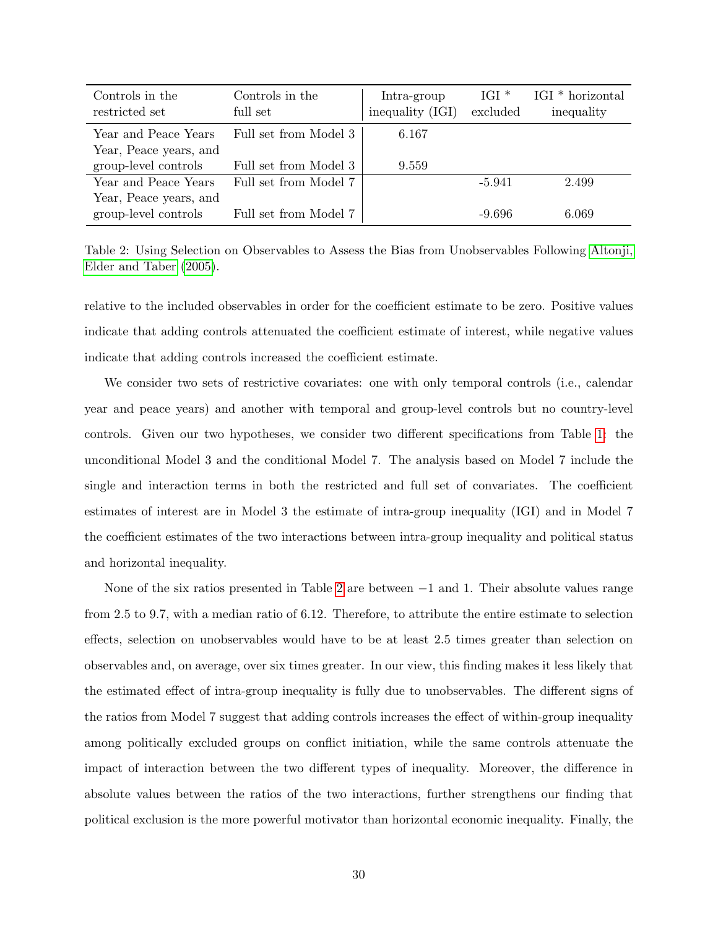| Controls in the<br>restricted set | Controls in the<br>full set | Intra-group<br>inequality (IGI) | $IGI^*$<br>excluded | $IGI * horizontal$<br>inequality |
|-----------------------------------|-----------------------------|---------------------------------|---------------------|----------------------------------|
| Year and Peace Years              | Full set from Model 3       | 6.167                           |                     |                                  |
| Year, Peace years, and            |                             |                                 |                     |                                  |
| group-level controls              | Full set from Model 3       | 9.559                           |                     |                                  |
| Year and Peace Years              | Full set from Model 7       |                                 | $-5.941$            | 2.499                            |
| Year, Peace years, and            |                             |                                 |                     |                                  |
| group-level controls              | Full set from Model 7       |                                 | -9.696              | 6.069                            |

<span id="page-30-0"></span>Table 2: Using Selection on Observables to Assess the Bias from Unobservables Following [Altonji,](#page-33-14) [Elder and Taber](#page-33-14) [\(2005\)](#page-33-14).

relative to the included observables in order for the coefficient estimate to be zero. Positive values indicate that adding controls attenuated the coefficient estimate of interest, while negative values indicate that adding controls increased the coefficient estimate.

We consider two sets of restrictive covariates: one with only temporal controls (i.e., calendar year and peace years) and another with temporal and group-level controls but no country-level controls. Given our two hypotheses, we consider two different specifications from Table [1:](#page-25-0) the unconditional Model 3 and the conditional Model 7. The analysis based on Model 7 include the single and interaction terms in both the restricted and full set of convariates. The coefficient estimates of interest are in Model 3 the estimate of intra-group inequality (IGI) and in Model 7 the coefficient estimates of the two interactions between intra-group inequality and political status and horizontal inequality.

None of the six ratios presented in Table [2](#page-30-0) are between −1 and 1. Their absolute values range from 2.5 to 9.7, with a median ratio of 6.12. Therefore, to attribute the entire estimate to selection effects, selection on unobservables would have to be at least 2.5 times greater than selection on observables and, on average, over six times greater. In our view, this finding makes it less likely that the estimated effect of intra-group inequality is fully due to unobservables. The different signs of the ratios from Model 7 suggest that adding controls increases the effect of within-group inequality among politically excluded groups on conflict initiation, while the same controls attenuate the impact of interaction between the two different types of inequality. Moreover, the difference in absolute values between the ratios of the two interactions, further strengthens our finding that political exclusion is the more powerful motivator than horizontal economic inequality. Finally, the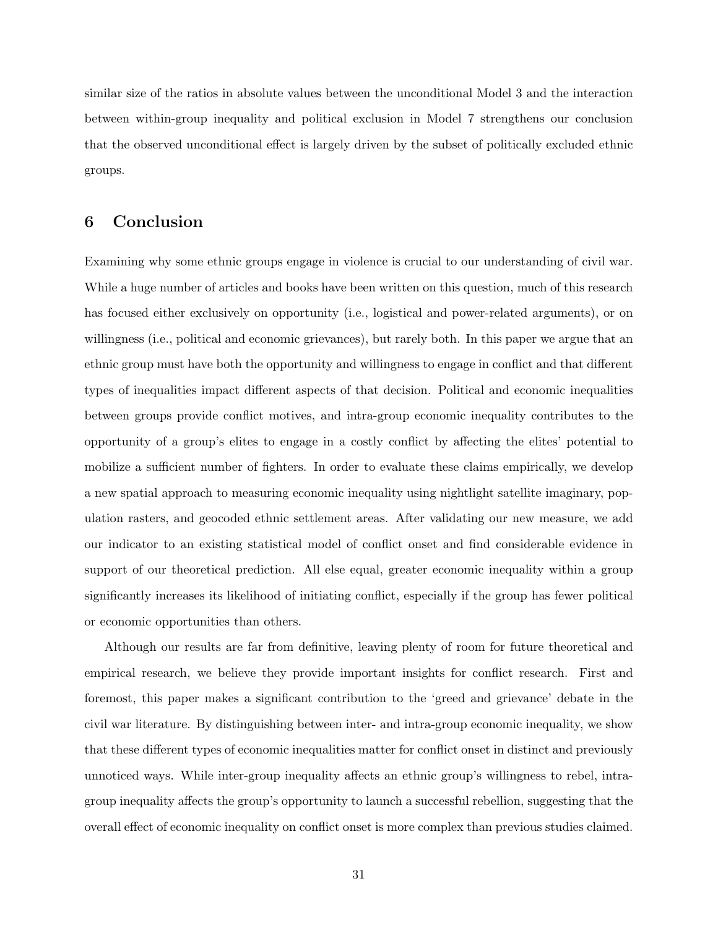similar size of the ratios in absolute values between the unconditional Model 3 and the interaction between within-group inequality and political exclusion in Model 7 strengthens our conclusion that the observed unconditional effect is largely driven by the subset of politically excluded ethnic groups.

### 6 Conclusion

Examining why some ethnic groups engage in violence is crucial to our understanding of civil war. While a huge number of articles and books have been written on this question, much of this research has focused either exclusively on opportunity (i.e., logistical and power-related arguments), or on willingness (i.e., political and economic grievances), but rarely both. In this paper we argue that an ethnic group must have both the opportunity and willingness to engage in conflict and that different types of inequalities impact different aspects of that decision. Political and economic inequalities between groups provide conflict motives, and intra-group economic inequality contributes to the opportunity of a group's elites to engage in a costly conflict by affecting the elites' potential to mobilize a sufficient number of fighters. In order to evaluate these claims empirically, we develop a new spatial approach to measuring economic inequality using nightlight satellite imaginary, population rasters, and geocoded ethnic settlement areas. After validating our new measure, we add our indicator to an existing statistical model of conflict onset and find considerable evidence in support of our theoretical prediction. All else equal, greater economic inequality within a group significantly increases its likelihood of initiating conflict, especially if the group has fewer political or economic opportunities than others.

Although our results are far from definitive, leaving plenty of room for future theoretical and empirical research, we believe they provide important insights for conflict research. First and foremost, this paper makes a significant contribution to the 'greed and grievance' debate in the civil war literature. By distinguishing between inter- and intra-group economic inequality, we show that these different types of economic inequalities matter for conflict onset in distinct and previously unnoticed ways. While inter-group inequality affects an ethnic group's willingness to rebel, intragroup inequality affects the group's opportunity to launch a successful rebellion, suggesting that the overall effect of economic inequality on conflict onset is more complex than previous studies claimed.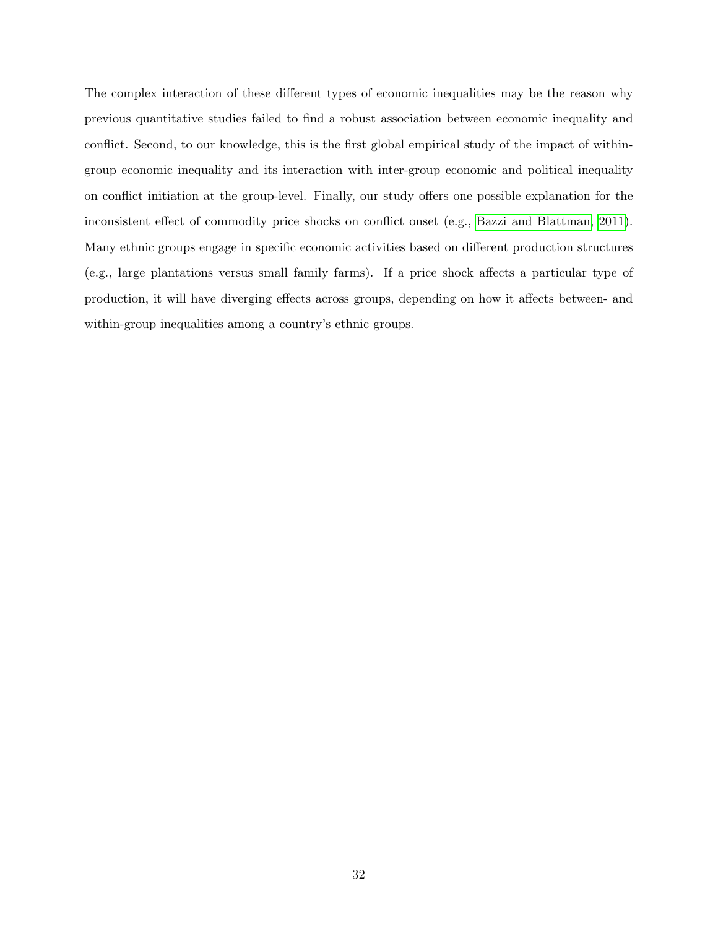The complex interaction of these different types of economic inequalities may be the reason why previous quantitative studies failed to find a robust association between economic inequality and conflict. Second, to our knowledge, this is the first global empirical study of the impact of withingroup economic inequality and its interaction with inter-group economic and political inequality on conflict initiation at the group-level. Finally, our study offers one possible explanation for the inconsistent effect of commodity price shocks on conflict onset (e.g., [Bazzi and Blattman, 2011\)](#page-33-5). Many ethnic groups engage in specific economic activities based on different production structures (e.g., large plantations versus small family farms). If a price shock affects a particular type of production, it will have diverging effects across groups, depending on how it affects between- and within-group inequalities among a country's ethnic groups.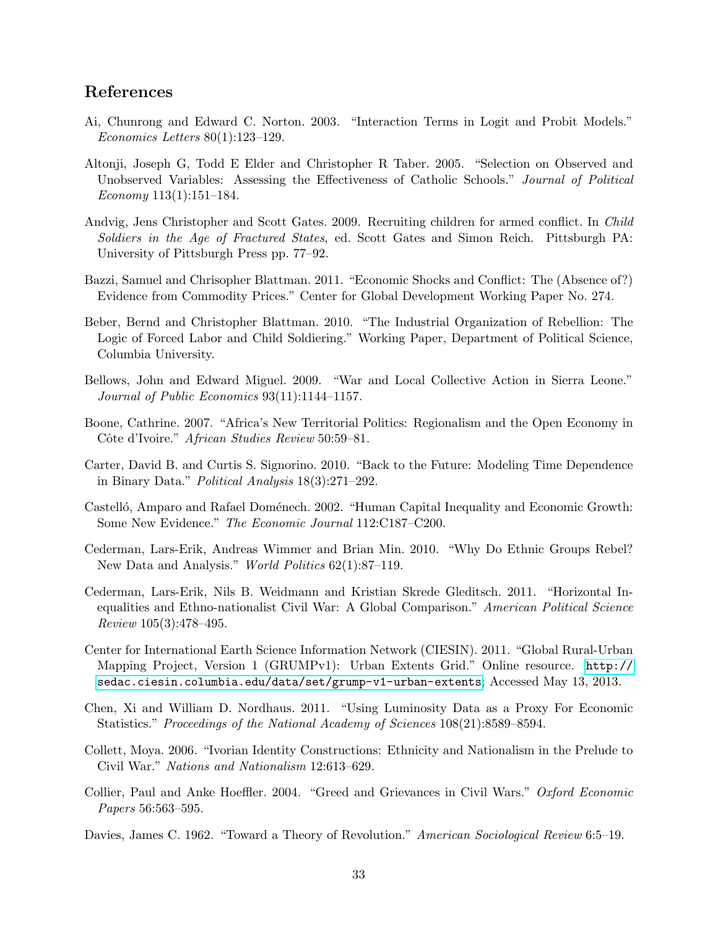# References

- <span id="page-33-13"></span>Ai, Chunrong and Edward C. Norton. 2003. "Interaction Terms in Logit and Probit Models." Economics Letters 80(1):123–129.
- <span id="page-33-14"></span>Altonji, Joseph G, Todd E Elder and Christopher R Taber. 2005. "Selection on Observed and Unobserved Variables: Assessing the Effectiveness of Catholic Schools." Journal of Political Economy 113(1):151–184.
- <span id="page-33-7"></span>Andvig, Jens Christopher and Scott Gates. 2009. Recruiting children for armed conflict. In Child Soldiers in the Age of Fractured States, ed. Scott Gates and Simon Reich. Pittsburgh PA: University of Pittsburgh Press pp. 77–92.
- <span id="page-33-5"></span>Bazzi, Samuel and Chrisopher Blattman. 2011. "Economic Shocks and Conflict: The (Absence of?) Evidence from Commodity Prices." Center for Global Development Working Paper No. 274.
- <span id="page-33-8"></span>Beber, Bernd and Christopher Blattman. 2010. "The Industrial Organization of Rebellion: The Logic of Forced Labor and Child Soldiering." Working Paper, Department of Political Science, Columbia University.
- <span id="page-33-15"></span>Bellows, John and Edward Miguel. 2009. "War and Local Collective Action in Sierra Leone." Journal of Public Economics 93(11):1144–1157.
- <span id="page-33-4"></span>Boone, Cathrine. 2007. "Africa's New Territorial Politics: Regionalism and the Open Economy in Côte d'Ivoire." African Studies Review 50:59–81.
- <span id="page-33-12"></span>Carter, David B. and Curtis S. Signorino. 2010. "Back to the Future: Modeling Time Dependence in Binary Data." Political Analysis 18(3):271–292.
- <span id="page-33-9"></span>Castelló, Amparo and Rafael Doménech. 2002. "Human Capital Inequality and Economic Growth: Some New Evidence." The Economic Journal 112:C187–C200.
- <span id="page-33-1"></span>Cederman, Lars-Erik, Andreas Wimmer and Brian Min. 2010. "Why Do Ethnic Groups Rebel? New Data and Analysis." World Politics 62(1):87–119.
- <span id="page-33-2"></span>Cederman, Lars-Erik, Nils B. Weidmann and Kristian Skrede Gleditsch. 2011. "Horizontal Inequalities and Ethno-nationalist Civil War: A Global Comparison." American Political Science Review 105(3):478–495.
- <span id="page-33-11"></span>Center for International Earth Science Information Network (CIESIN). 2011. "Global Rural-Urban Mapping Project, Version 1 (GRUMPv1): Urban Extents Grid." Online resource. [http://](http://sedac.ciesin.columbia.edu/data/set/grump-v1-urban-extents) [sedac.ciesin.columbia.edu/data/set/grump-v1-urban-extents](http://sedac.ciesin.columbia.edu/data/set/grump-v1-urban-extents); Accessed May 13, 2013.
- <span id="page-33-10"></span>Chen, Xi and William D. Nordhaus. 2011. "Using Luminosity Data as a Proxy For Economic Statistics." Proceedings of the National Academy of Sciences 108(21):8589–8594.
- <span id="page-33-3"></span>Collett, Moya. 2006. "Ivorian Identity Constructions: Ethnicity and Nationalism in the Prelude to Civil War." Nations and Nationalism 12:613–629.
- <span id="page-33-0"></span>Collier, Paul and Anke Hoeffler. 2004. "Greed and Grievances in Civil Wars." Oxford Economic Papers 56:563–595.
- <span id="page-33-6"></span>Davies, James C. 1962. "Toward a Theory of Revolution." American Sociological Review 6:5–19.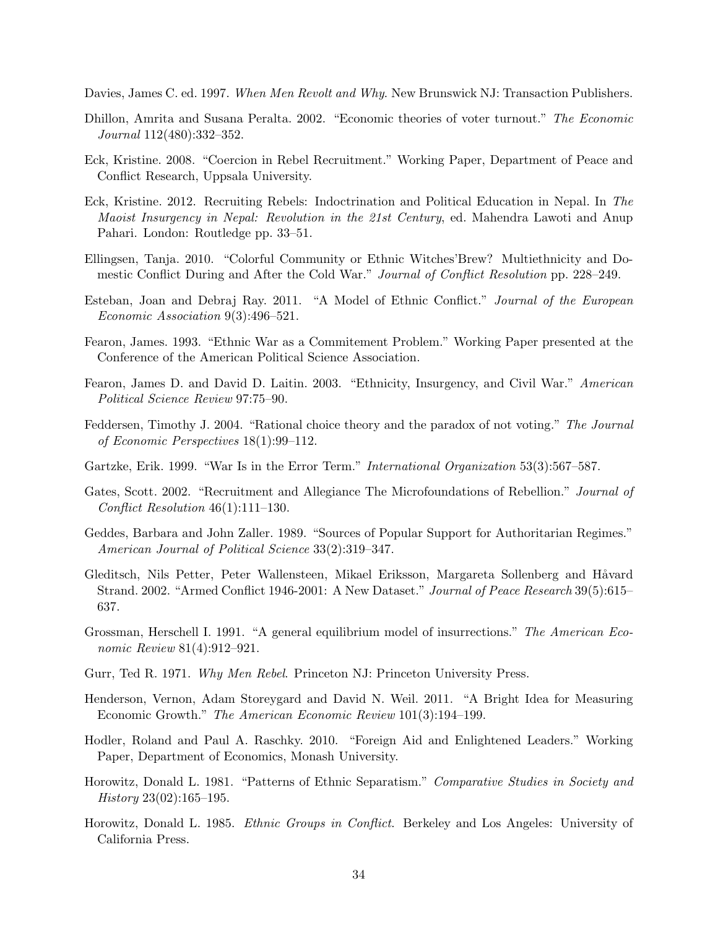<span id="page-34-5"></span>Davies, James C. ed. 1997. When Men Revolt and Why. New Brunswick NJ: Transaction Publishers.

- <span id="page-34-14"></span>Dhillon, Amrita and Susana Peralta. 2002. "Economic theories of voter turnout." The Economic Journal 112(480):332–352.
- <span id="page-34-13"></span>Eck, Kristine. 2008. "Coercion in Rebel Recruitment." Working Paper, Department of Peace and Conflict Research, Uppsala University.
- <span id="page-34-16"></span>Eck, Kristine. 2012. Recruiting Rebels: Indoctrination and Political Education in Nepal. In The Maoist Insurgency in Nepal: Revolution in the 21st Century, ed. Mahendra Lawoti and Anup Pahari. London: Routledge pp. 33–51.
- <span id="page-34-6"></span>Ellingsen, Tanja. 2010. "Colorful Community or Ethnic Witches'Brew? Multiethnicity and Domestic Conflict During and After the Cold War." Journal of Conflict Resolution pp. 228–249.
- <span id="page-34-7"></span>Esteban, Joan and Debraj Ray. 2011. "A Model of Ethnic Conflict." Journal of the European Economic Association 9(3):496–521.
- <span id="page-34-2"></span>Fearon, James. 1993. "Ethnic War as a Commitement Problem." Working Paper presented at the Conference of the American Political Science Association.
- <span id="page-34-0"></span>Fearon, James D. and David D. Laitin. 2003. "Ethnicity, Insurgency, and Civil War." American Political Science Review 97:75–90.
- <span id="page-34-15"></span>Feddersen, Timothy J. 2004. "Rational choice theory and the paradox of not voting." The Journal of Economic Perspectives 18(1):99–112.
- <span id="page-34-9"></span>Gartzke, Erik. 1999. "War Is in the Error Term." International Organization 53(3):567–587.
- <span id="page-34-8"></span>Gates, Scott. 2002. "Recruitment and Allegiance The Microfoundations of Rebellion." Journal of Conflict Resolution 46(1):111–130.
- <span id="page-34-17"></span>Geddes, Barbara and John Zaller. 1989. "Sources of Popular Support for Authoritarian Regimes." American Journal of Political Science 33(2):319–347.
- <span id="page-34-18"></span>Gleditsch, Nils Petter, Peter Wallensteen, Mikael Eriksson, Margareta Sollenberg and Håvard Strand. 2002. "Armed Conflict 1946-2001: A New Dataset." Journal of Peace Research 39(5):615– 637.
- <span id="page-34-12"></span>Grossman, Herschell I. 1991. "A general equilibrium model of insurrections." The American Economic Review 81(4):912-921.
- <span id="page-34-1"></span>Gurr, Ted R. 1971. Why Men Rebel. Princeton NJ: Princeton University Press.
- <span id="page-34-3"></span>Henderson, Vernon, Adam Storeygard and David N. Weil. 2011. "A Bright Idea for Measuring Economic Growth." The American Economic Review 101(3):194–199.
- <span id="page-34-4"></span>Hodler, Roland and Paul A. Raschky. 2010. "Foreign Aid and Enlightened Leaders." Working Paper, Department of Economics, Monash University.
- <span id="page-34-10"></span>Horowitz, Donald L. 1981. "Patterns of Ethnic Separatism." Comparative Studies in Society and  $History 23(02):165-195.$
- <span id="page-34-11"></span>Horowitz, Donald L. 1985. Ethnic Groups in Conflict. Berkeley and Los Angeles: University of California Press.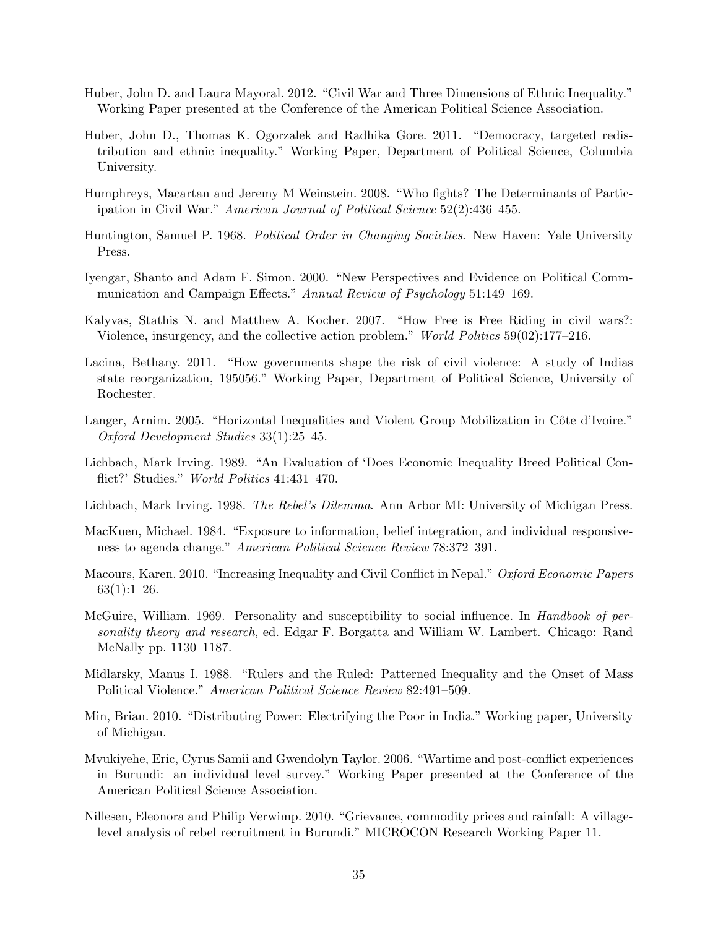- <span id="page-35-4"></span>Huber, John D. and Laura Mayoral. 2012. "Civil War and Three Dimensions of Ethnic Inequality." Working Paper presented at the Conference of the American Political Science Association.
- <span id="page-35-16"></span>Huber, John D., Thomas K. Ogorzalek and Radhika Gore. 2011. "Democracy, targeted redistribution and ethnic inequality." Working Paper, Department of Political Science, Columbia University.
- <span id="page-35-10"></span>Humphreys, Macartan and Jeremy M Weinstein. 2008. "Who fights? The Determinants of Participation in Civil War." American Journal of Political Science 52(2):436–455.
- <span id="page-35-0"></span>Huntington, Samuel P. 1968. Political Order in Changing Societies. New Haven: Yale University Press.
- <span id="page-35-14"></span>Iyengar, Shanto and Adam F. Simon. 2000. "New Perspectives and Evidence on Political Commmunication and Campaign Effects." Annual Review of Psychology 51:149–169.
- <span id="page-35-7"></span>Kalyvas, Stathis N. and Matthew A. Kocher. 2007. "How Free is Free Riding in civil wars?: Violence, insurgency, and the collective action problem." World Politics 59(02):177–216.
- <span id="page-35-5"></span>Lacina, Bethany. 2011. "How governments shape the risk of civil violence: A study of Indias state reorganization, 195056." Working Paper, Department of Political Science, University of Rochester.
- <span id="page-35-1"></span>Langer, Arnim. 2005. "Horizontal Inequalities and Violent Group Mobilization in Côte d'Ivoire." Oxford Development Studies 33(1):25–45.
- <span id="page-35-2"></span>Lichbach, Mark Irving. 1989. "An Evaluation of 'Does Economic Inequality Breed Political Conflict?' Studies." World Politics 41:431–470.
- <span id="page-35-6"></span>Lichbach, Mark Irving. 1998. *The Rebel's Dilemma*. Ann Arbor MI: University of Michigan Press.
- <span id="page-35-13"></span>MacKuen, Michael. 1984. "Exposure to information, belief integration, and individual responsiveness to agenda change." American Political Science Review 78:372–391.
- <span id="page-35-11"></span>Macours, Karen. 2010. "Increasing Inequality and Civil Conflict in Nepal." Oxford Economic Papers  $63(1):1-26.$
- <span id="page-35-12"></span>McGuire, William. 1969. Personality and susceptibility to social influence. In *Handbook of per*sonality theory and research, ed. Edgar F. Borgatta and William W. Lambert. Chicago: Rand McNally pp. 1130–1187.
- <span id="page-35-3"></span>Midlarsky, Manus I. 1988. "Rulers and the Ruled: Patterned Inequality and the Onset of Mass Political Violence." American Political Science Review 82:491–509.
- <span id="page-35-15"></span>Min, Brian. 2010. "Distributing Power: Electrifying the Poor in India." Working paper, University of Michigan.
- <span id="page-35-8"></span>Mvukiyehe, Eric, Cyrus Samii and Gwendolyn Taylor. 2006. "Wartime and post-conflict experiences in Burundi: an individual level survey." Working Paper presented at the Conference of the American Political Science Association.
- <span id="page-35-9"></span>Nillesen, Eleonora and Philip Verwimp. 2010. "Grievance, commodity prices and rainfall: A villagelevel analysis of rebel recruitment in Burundi." MICROCON Research Working Paper 11.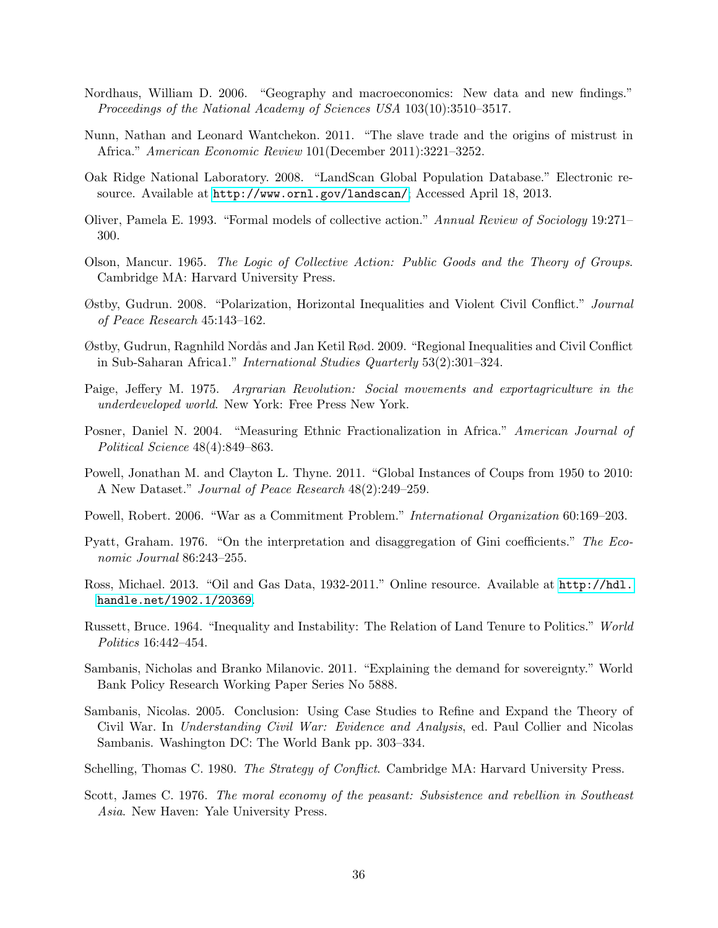- <span id="page-36-13"></span>Nordhaus, William D. 2006. "Geography and macroeconomics: New data and new findings." Proceedings of the National Academy of Sciences USA 103(10):3510–3517.
- <span id="page-36-17"></span>Nunn, Nathan and Leonard Wantchekon. 2011. "The slave trade and the origins of mistrust in Africa." American Economic Review 101(December 2011):3221–3252.
- <span id="page-36-14"></span>Oak Ridge National Laboratory. 2008. "LandScan Global Population Database." Electronic resource. Available at <http://www.ornl.gov/landscan/>; Accessed April 18, 2013.
- <span id="page-36-11"></span>Oliver, Pamela E. 1993. "Formal models of collective action." Annual Review of Sociology 19:271– 300.
- <span id="page-36-8"></span>Olson, Mancur. 1965. The Logic of Collective Action: Public Goods and the Theory of Groups. Cambridge MA: Harvard University Press.
- <span id="page-36-4"></span>Østby, Gudrun. 2008. "Polarization, Horizontal Inequalities and Violent Civil Conflict." Journal of Peace Research 45:143–162.
- <span id="page-36-7"></span>Østby, Gudrun, Ragnhild Nordås and Jan Ketil Rød. 2009. "Regional Inequalities and Civil Conflict in Sub-Saharan Africa1." International Studies Quarterly 53(2):301–324.
- <span id="page-36-0"></span>Paige, Jeffery M. 1975. Argrarian Revolution: Social movements and exportagriculture in the underdeveloped world. New York: Free Press New York.
- <span id="page-36-10"></span>Posner, Daniel N. 2004. "Measuring Ethnic Fractionalization in Africa." American Journal of Political Science 48(4):849–863.
- <span id="page-36-16"></span>Powell, Jonathan M. and Clayton L. Thyne. 2011. "Global Instances of Coups from 1950 to 2010: A New Dataset." Journal of Peace Research 48(2):249–259.
- <span id="page-36-2"></span>Powell, Robert. 2006. "War as a Commitment Problem." International Organization 60:169–203.
- <span id="page-36-6"></span>Pyatt, Graham. 1976. "On the interpretation and disaggregation of Gini coefficients." The Economic Journal 86:243–255.
- <span id="page-36-15"></span>Ross, Michael. 2013. "Oil and Gas Data, 1932-2011." Online resource. Available at [http://hdl.](http://hdl.handle.net/1902.1/20369) [handle.net/1902.1/20369](http://hdl.handle.net/1902.1/20369).
- <span id="page-36-1"></span>Russett, Bruce. 1964. "Inequality and Instability: The Relation of Land Tenure to Politics." World Politics 16:442–454.
- <span id="page-36-5"></span>Sambanis, Nicholas and Branko Milanovic. 2011. "Explaining the demand for sovereignty." World Bank Policy Research Working Paper Series No 5888.
- <span id="page-36-3"></span>Sambanis, Nicolas. 2005. Conclusion: Using Case Studies to Refine and Expand the Theory of Civil War. In Understanding Civil War: Evidence and Analysis, ed. Paul Collier and Nicolas Sambanis. Washington DC: The World Bank pp. 303–334.
- <span id="page-36-9"></span>Schelling, Thomas C. 1980. The Strategy of Conflict. Cambridge MA: Harvard University Press.
- <span id="page-36-12"></span>Scott, James C. 1976. The moral economy of the peasant: Subsistence and rebellion in Southeast Asia. New Haven: Yale University Press.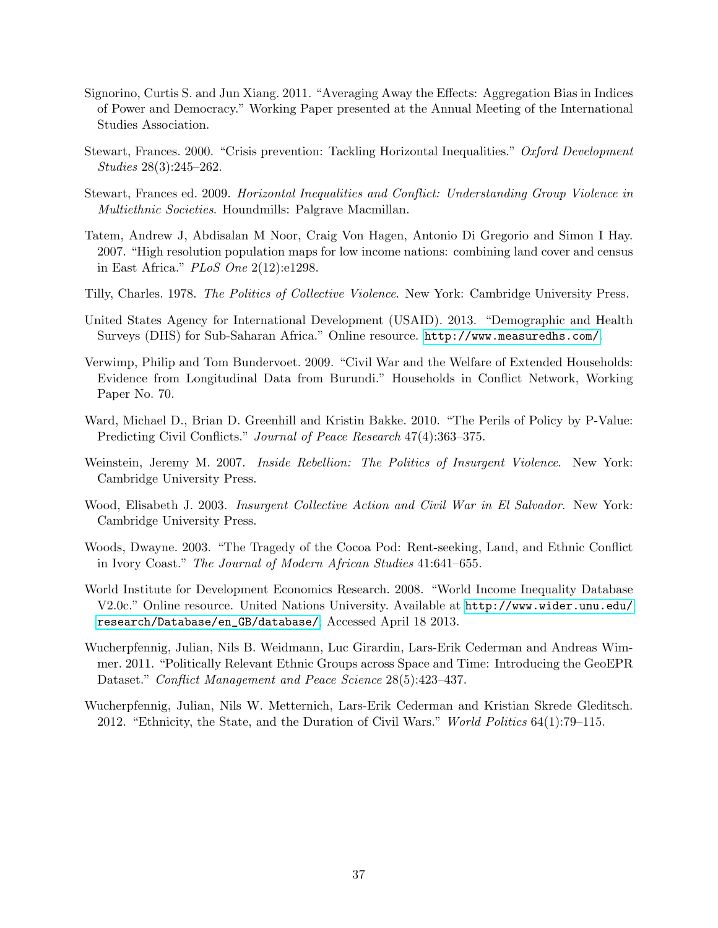- <span id="page-37-6"></span>Signorino, Curtis S. and Jun Xiang. 2011. "Averaging Away the Effects: Aggregation Bias in Indices of Power and Democracy." Working Paper presented at the Annual Meeting of the International Studies Association.
- <span id="page-37-5"></span>Stewart, Frances. 2000. "Crisis prevention: Tackling Horizontal Inequalities." Oxford Development Studies 28(3):245–262.
- <span id="page-37-3"></span>Stewart, Frances ed. 2009. Horizontal Inequalities and Conflict: Understanding Group Violence in Multiethnic Societies. Houndmills: Palgrave Macmillan.
- <span id="page-37-9"></span>Tatem, Andrew J, Abdisalan M Noor, Craig Von Hagen, Antonio Di Gregorio and Simon I Hay. 2007. "High resolution population maps for low income nations: combining land cover and census in East Africa." PLoS One 2(12):e1298.
- <span id="page-37-4"></span>Tilly, Charles. 1978. The Politics of Collective Violence. New York: Cambridge University Press.
- <span id="page-37-11"></span>United States Agency for International Development (USAID). 2013. "Demographic and Health Surveys (DHS) for Sub-Saharan Africa." Online resource. <http://www.measuredhs.com/>.
- <span id="page-37-7"></span>Verwimp, Philip and Tom Bundervoet. 2009. "Civil War and the Welfare of Extended Households: Evidence from Longitudinal Data from Burundi." Households in Conflict Network, Working Paper No. 70.
- <span id="page-37-13"></span>Ward, Michael D., Brian D. Greenhill and Kristin Bakke. 2010. "The Perils of Policy by P-Value: Predicting Civil Conflicts." Journal of Peace Research 47(4):363–375.
- <span id="page-37-1"></span>Weinstein, Jeremy M. 2007. *Inside Rebellion: The Politics of Insurgent Violence*. New York: Cambridge University Press.
- <span id="page-37-0"></span>Wood, Elisabeth J. 2003. Insurgent Collective Action and Civil War in El Salvador. New York: Cambridge University Press.
- <span id="page-37-2"></span>Woods, Dwayne. 2003. "The Tragedy of the Cocoa Pod: Rent-seeking, Land, and Ethnic Conflict in Ivory Coast." The Journal of Modern African Studies 41:641–655.
- <span id="page-37-10"></span>World Institute for Development Economics Research. 2008. "World Income Inequality Database V2.0c." Online resource. United Nations University. Available at [http://www.wider.unu.edu/](http://www.wider.unu.edu/research/Database/en_GB/database/) [research/Database/en\\_GB/database/](http://www.wider.unu.edu/research/Database/en_GB/database/); Accessed April 18 2013.
- <span id="page-37-8"></span>Wucherpfennig, Julian, Nils B. Weidmann, Luc Girardin, Lars-Erik Cederman and Andreas Wimmer. 2011. "Politically Relevant Ethnic Groups across Space and Time: Introducing the GeoEPR Dataset." Conflict Management and Peace Science 28(5):423-437.
- <span id="page-37-12"></span>Wucherpfennig, Julian, Nils W. Metternich, Lars-Erik Cederman and Kristian Skrede Gleditsch. 2012. "Ethnicity, the State, and the Duration of Civil Wars." World Politics 64(1):79–115.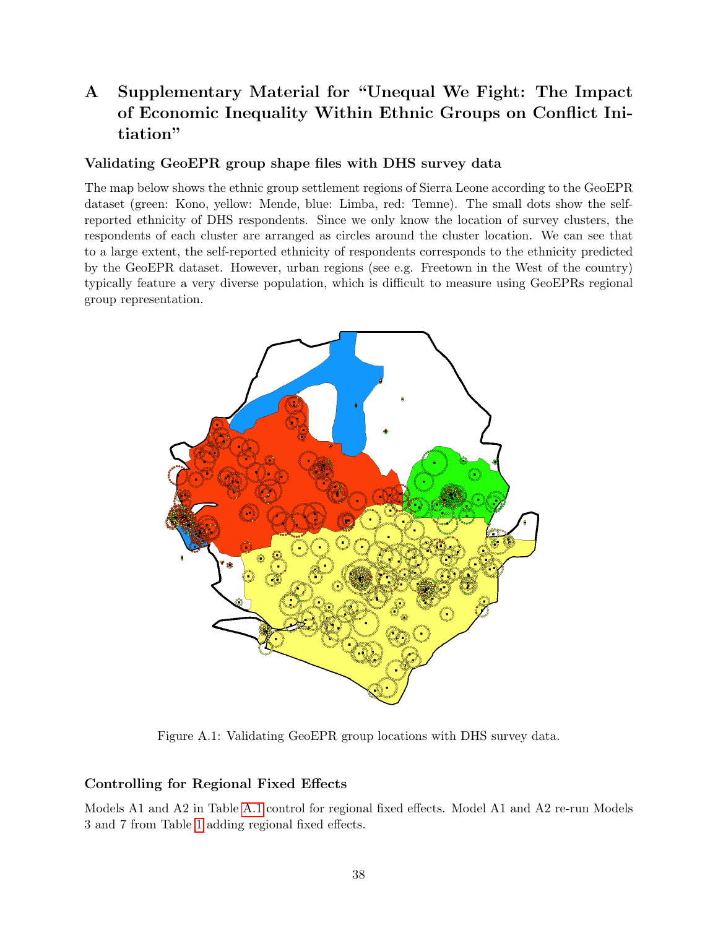# A Supplementary Material for "Unequal We Fight: The Impact of Economic Inequality Within Ethnic Groups on Conflict Initiation"

### Validating GeoEPR group shape files with DHS survey data

The map below shows the ethnic group settlement regions of Sierra Leone according to the GeoEPR dataset (green: Kono, yellow: Mende, blue: Limba, red: Temne). The small dots show the selfreported ethnicity of DHS respondents. Since we only know the location of survey clusters, the respondents of each cluster are arranged as circles around the cluster location. We can see that to a large extent, the self-reported ethnicity of respondents corresponds to the ethnicity predicted by the GeoEPR dataset. However, urban regions (see e.g. Freetown in the West of the country) typically feature a very diverse population, which is difficult to measure using GeoEPRs regional group representation.



Figure A.1: Validating GeoEPR group locations with DHS survey data.

# Controlling for Regional Fixed Effects

Models A1 and A2 in Table [A.1](#page-25-0) control for regional fixed effects. Model A1 and A2 re-run Models 3 and 7 from Table [1](#page-25-0) adding regional fixed effects.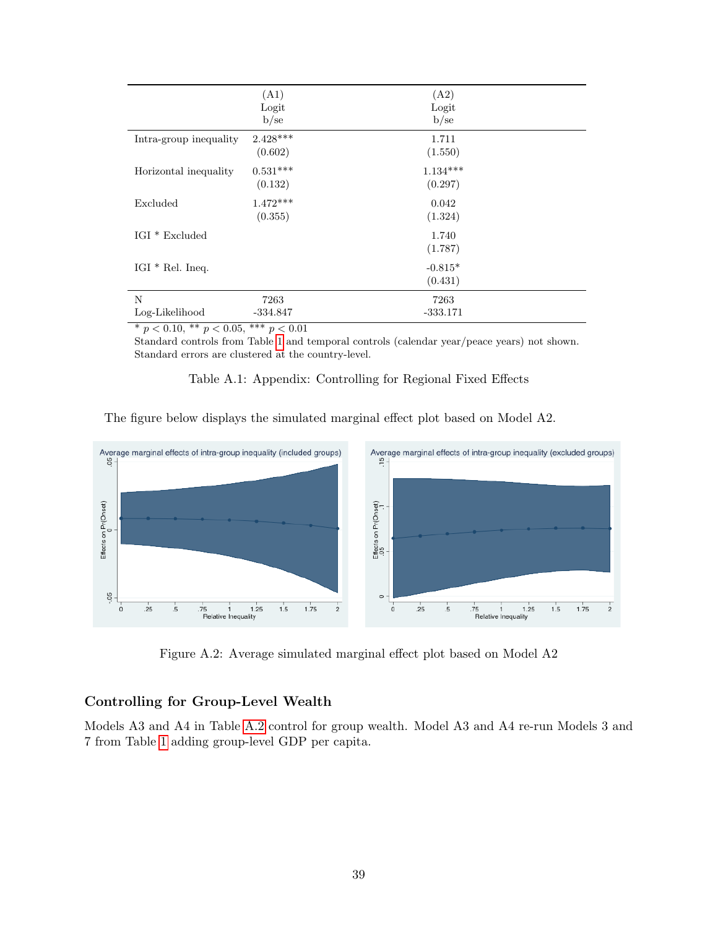|                        | (A1)                  | (A2)                  |
|------------------------|-----------------------|-----------------------|
|                        | Logit<br>b/se         | Logit<br>b/se         |
| Intra-group inequality | $2.428***$<br>(0.602) | 1.711<br>(1.550)      |
| Horizontal inequality  | $0.531***$<br>(0.132) | $1.134***$<br>(0.297) |
| Excluded               | $1.472***$<br>(0.355) | 0.042<br>(1.324)      |
| $IGI * Excluded$       |                       | 1.740<br>(1.787)      |
| $IGI * Rel. Ineq.$     |                       | $-0.815*$<br>(0.431)  |
| N<br>Log-Likelihood    | 7263<br>$-334.847$    | 7263<br>$-333.171$    |

Standard controls from Table [1](#page-25-0) and temporal controls (calendar year/peace years) not shown. Standard errors are clustered at the country-level.

#### Table A.1: Appendix: Controlling for Regional Fixed Effects

The figure below displays the simulated marginal effect plot based on Model A2.



Figure A.2: Average simulated marginal effect plot based on Model A2

### Controlling for Group-Level Wealth

Models A3 and A4 in Table [A.2](#page-30-0) control for group wealth. Model A3 and A4 re-run Models 3 and 7 from Table [1](#page-25-0) adding group-level GDP per capita.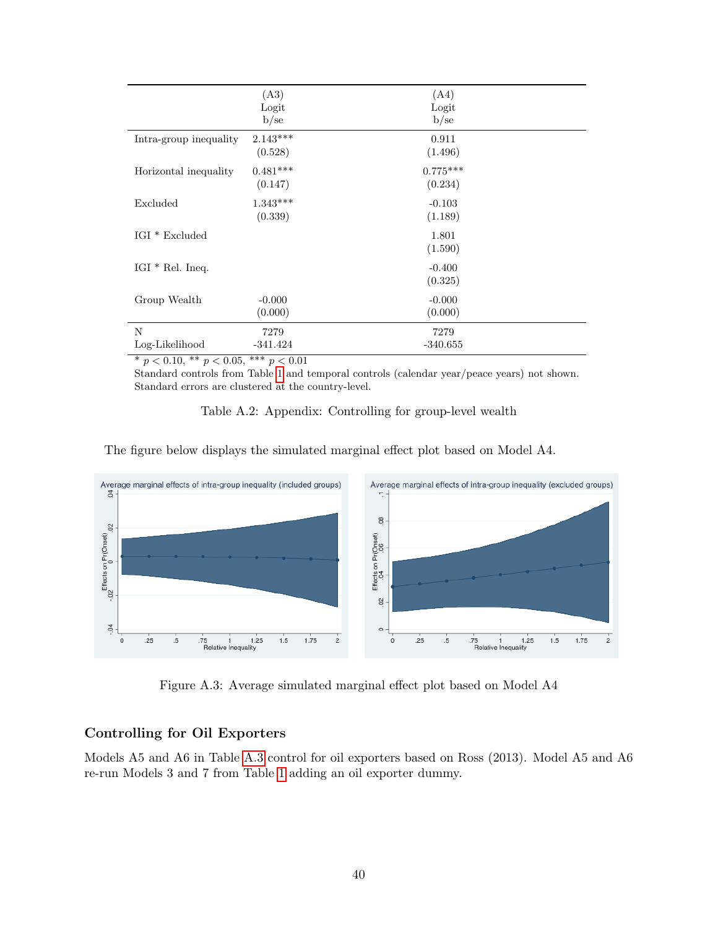|                        | (A3)<br>Logit<br>b/se | (A4)<br>Logit<br>b/se |
|------------------------|-----------------------|-----------------------|
| Intra-group inequality | $2.143***$<br>(0.528) | 0.911<br>(1.496)      |
| Horizontal inequality  | $0.481***$<br>(0.147) | $0.775***$<br>(0.234) |
| Excluded               | $1.343***$<br>(0.339) | $-0.103$<br>(1.189)   |
| $IGI * Excluded$       |                       | 1.801<br>(1.590)      |
| $IGI * Rel. Ineq.$     |                       | $-0.400$<br>(0.325)   |
| Group Wealth           | $-0.000$<br>(0.000)   | $-0.000$<br>(0.000)   |
| N<br>$Log-Likelihood$  | 7279<br>$-341.424$    | 7279<br>$-340.655$    |

Standard controls from Table [1](#page-25-0) and temporal controls (calendar year/peace years) not shown. Standard errors are clustered at the country-level.

Table A.2: Appendix: Controlling for group-level wealth

The figure below displays the simulated marginal effect plot based on Model A4.



Figure A.3: Average simulated marginal effect plot based on Model A4

### Controlling for Oil Exporters

Models A5 and A6 in Table [A.3](#page-41-0) control for oil exporters based on Ross (2013). Model A5 and A6 re-run Models 3 and 7 from Table [1](#page-25-0) adding an oil exporter dummy.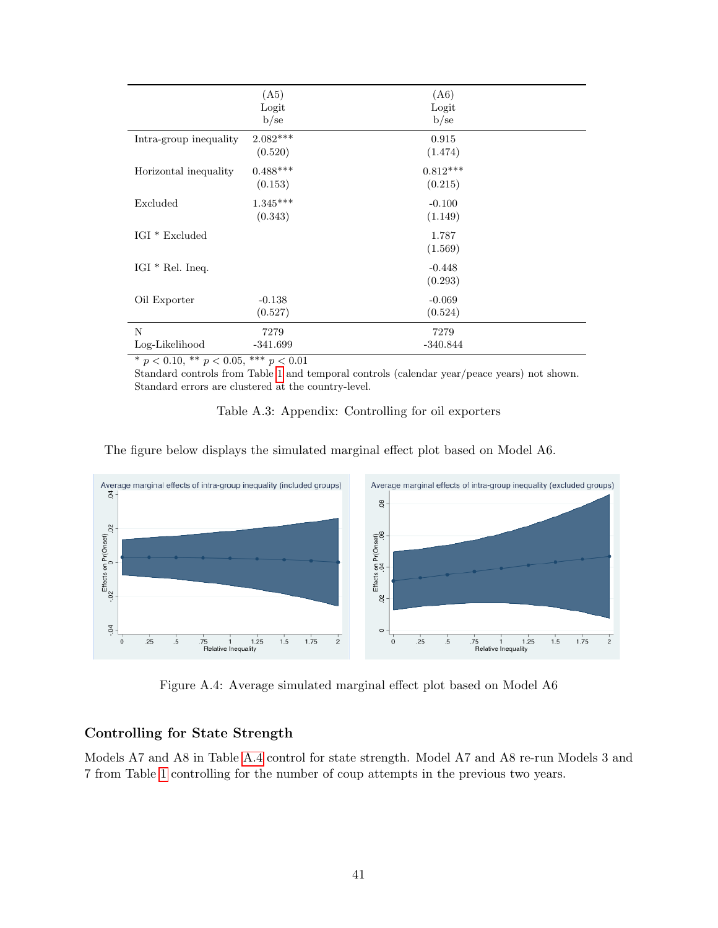|                        | (A5)<br>Logit<br>b/se | (A6)<br>Logit<br>b/se |
|------------------------|-----------------------|-----------------------|
| Intra-group inequality | $2.082***$<br>(0.520) | 0.915<br>(1.474)      |
| Horizontal inequality  | $0.488***$<br>(0.153) | $0.812***$<br>(0.215) |
| Excluded               | $1.345***$<br>(0.343) | $-0.100$<br>(1.149)   |
| $IGI * Excluded$       |                       | 1.787<br>(1.569)      |
| $IGI * Rel. Ineq.$     |                       | $-0.448$<br>(0.293)   |
| Oil Exporter           | $-0.138$<br>(0.527)   | $-0.069$<br>(0.524)   |
| N<br>$Log-Likelihood$  | 7279<br>$-341.699$    | 7279<br>$-340.844$    |

Standard controls from Table [1](#page-25-0) and temporal controls (calendar year/peace years) not shown. Standard errors are clustered at the country-level.

<span id="page-41-0"></span>Table A.3: Appendix: Controlling for oil exporters

The figure below displays the simulated marginal effect plot based on Model A6.



Figure A.4: Average simulated marginal effect plot based on Model A6

### Controlling for State Strength

Models A7 and A8 in Table [A.4](#page-42-0) control for state strength. Model A7 and A8 re-run Models 3 and 7 from Table [1](#page-25-0) controlling for the number of coup attempts in the previous two years.